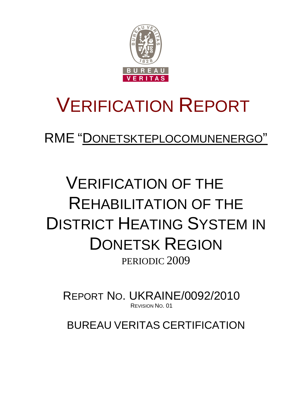

# VERIFICATION REPORT

RME "DONETSKTEPLOCOMUNENERGO"

## VERIFICATION OF THE REHABILITATION OF THE DISTRICT HEATING SYSTEM IN DONETSK REGION PERIODIC 2009

REPORT NO. UKRAINE/0092/2010 REVISION NO. 01

BUREAU VERITAS CERTIFICATION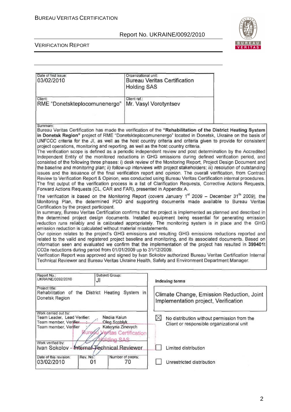

#### VERIFICATION REPORT

 $\overline{1}$ 

| Date of first issue.<br>03/02/2010                                                                                                                                                                                                                                                                                                                                                                                                                                                                                                                                                                                                                                                                                                                                                                                                                                                                                                                                                                                                                                                                                                                                                                                                                                                                                                          | Organizational unit;<br><b>Holding SAS</b> | <b>Bureau Veritas Certification</b>                                                                     |  |
|---------------------------------------------------------------------------------------------------------------------------------------------------------------------------------------------------------------------------------------------------------------------------------------------------------------------------------------------------------------------------------------------------------------------------------------------------------------------------------------------------------------------------------------------------------------------------------------------------------------------------------------------------------------------------------------------------------------------------------------------------------------------------------------------------------------------------------------------------------------------------------------------------------------------------------------------------------------------------------------------------------------------------------------------------------------------------------------------------------------------------------------------------------------------------------------------------------------------------------------------------------------------------------------------------------------------------------------------|--------------------------------------------|---------------------------------------------------------------------------------------------------------|--|
| Client<br>RME "Donetskteplocomunenergo"                                                                                                                                                                                                                                                                                                                                                                                                                                                                                                                                                                                                                                                                                                                                                                                                                                                                                                                                                                                                                                                                                                                                                                                                                                                                                                     | Client ref.:<br>Mr. Vasyl Vorotyntsev      |                                                                                                         |  |
| Summary:<br>Bureau Veritas Certification has made the verification of the "Rehabilitation of the District Heating System<br>in Donetsk Region" project of RME "Donetskteplocomunenergo" located in Donetsk, Ukraine on the basis of<br>UNFCCC criteria for the JI, as well as the host country criteria and criteria given to provide for consistent<br>project operations, monitoring and reporting, as well as the host country criteria.<br>The verification scope is defined as a periodic independent review and post determination by the Accredited<br>Independent Entity of the monitored reductions in GHG emissions during defined verification period, and<br>consisted of the following three phases: i) desk review of the Monitoring Report, Project Design Document and<br>the baseline and monitoring plan; ii) follow-up interviews with project stakeholders; iii) resolution of outstanding<br>issues and the issuance of the final verification report and opinion. The overall verification, from Contract<br>Review to Verification Report & Opinion, was conducted using Bureau Veritas Certification internal procedures.<br>The first output of the verification process is a list of Clarification Requests, Corrective Actions Requests,<br>Forward Actions Requests (CL, CAR and FAR), presented in Appendix A. |                                            |                                                                                                         |  |
| The verification is based on the Monitoring Report (covers January 1 <sup>st</sup> 2009 - December 31 <sup>th</sup> 2009), the<br>Monitoring Plan, the determined PDD and supporting documents made available to Bureau Veritas<br>Certification by the project participant.<br>In summary, Bureau Veritas Certification confirms that the project is implemented as planned and described in<br>the determined project design documents. Installed equipment being essential for generating emission<br>reduction runs reliably and is calibrated appropriately. The monitoring system is in place and the GHG<br>emission reduction is calculated without material misstatements.<br>Our opinion relates to the project's GHG emissions and resulting GHG emissions reductions reported and<br>related to the valid and registered project baseline and monitoring, and its associated documents. Based on<br>information seen and evaluated we confirm that the implementation of the project has resulted in 399401t<br>CO2e reductions during period from 01/01/2009 up to 31/12/2009.<br>Verification Report was approved and signed by Ivan Sokolov authorized Bureau Veritas Certification Internal<br>Technical Reviewer and Bureau Veritas Ukraine Health, Safety and Environment Department Manager.                             |                                            |                                                                                                         |  |
| Subject Group:<br>Report No.:<br>UKRAINE/0092/2010<br>JI                                                                                                                                                                                                                                                                                                                                                                                                                                                                                                                                                                                                                                                                                                                                                                                                                                                                                                                                                                                                                                                                                                                                                                                                                                                                                    |                                            | Indexing terms                                                                                          |  |
| Project title:<br>Rehabilitation of the District Heating System in<br>Donetsk Region                                                                                                                                                                                                                                                                                                                                                                                                                                                                                                                                                                                                                                                                                                                                                                                                                                                                                                                                                                                                                                                                                                                                                                                                                                                        |                                            | Climate Change, Emission Reduction, Joint<br>Implementation project, Verification                       |  |
| Work carried out by:<br>Team Leader, Lead Verifier:<br>Nadiia Kaiun<br><b>Oleg Scoblyk</b><br>Team member, Verifier<br>Kateryna Zinevych<br>Team member, Verifier<br><b>Buread</b><br>olding SAS                                                                                                                                                                                                                                                                                                                                                                                                                                                                                                                                                                                                                                                                                                                                                                                                                                                                                                                                                                                                                                                                                                                                            | eritas Certification                       | $\boxtimes$<br>No distribution without permission from the<br>Client or responsible organizational unit |  |
| Work verified by:<br>Ivan Sokolov - Internal Fechnical Reviewer                                                                                                                                                                                                                                                                                                                                                                                                                                                                                                                                                                                                                                                                                                                                                                                                                                                                                                                                                                                                                                                                                                                                                                                                                                                                             |                                            | Limited distribution                                                                                    |  |
| Date of this revision:<br>Rev. No.:<br>03/02/2010<br>01                                                                                                                                                                                                                                                                                                                                                                                                                                                                                                                                                                                                                                                                                                                                                                                                                                                                                                                                                                                                                                                                                                                                                                                                                                                                                     | Number of pages:<br>70                     | Unrestricted distribution                                                                               |  |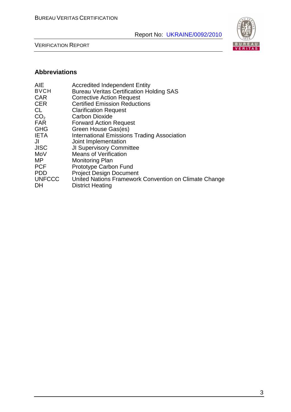

VERIFICATION REPORT

### **Abbreviations**

| <b>AIE</b>      | <b>Accredited Independent Entity</b>                  |
|-----------------|-------------------------------------------------------|
| <b>BVCH</b>     | <b>Bureau Veritas Certification Holding SAS</b>       |
| <b>CAR</b>      | <b>Corrective Action Request</b>                      |
| <b>CER</b>      | <b>Certified Emission Reductions</b>                  |
| <b>CL</b>       | <b>Clarification Request</b>                          |
| CO <sub>2</sub> | <b>Carbon Dioxide</b>                                 |
| <b>FAR</b>      | <b>Forward Action Request</b>                         |
| <b>GHG</b>      | Green House Gas(es)                                   |
| <b>IETA</b>     | <b>International Emissions Trading Association</b>    |
| JI              | Joint Implementation                                  |
| <b>JISC</b>     | <b>JI Supervisory Committee</b>                       |
| MoV             | <b>Means of Verification</b>                          |
| MΡ              | <b>Monitoring Plan</b>                                |
| <b>PCF</b>      | Prototype Carbon Fund                                 |
| <b>PDD</b>      | <b>Project Design Document</b>                        |
| <b>UNFCCC</b>   | United Nations Framework Convention on Climate Change |
| DH              | <b>District Heating</b>                               |
|                 |                                                       |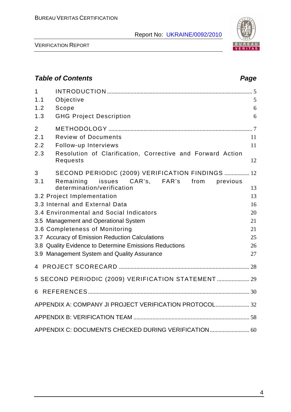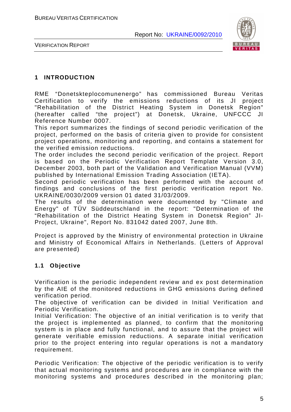

VERIFICATION REPORT

#### **1 INTRODUCTION**

RME "Donetskteplocomunenergo" has commissioned Bureau Veritas Certification to verify the emissions reductions of its JI project "Rehabilitation of the District Heating System in Donetsk Region" (hereafter called "the project") at Donetsk, Ukraine, UNFCCC JI Reference Number 0007.

This report summarizes the findings of second periodic verification of the project, performed on the basis of criteria given to provide for consistent project operations, monitoring and reporting, and contains a statement for the verified emission reductions.

The order includes the second periodic verification of the project. Report is based on the Periodic Verification Report Template Version 3.0, December 2003, both part of the Validation and Verification Manual (VVM) published by International Emission Trading Association (IETA).

Second periodic verification has been performed with the account of findings and conclusions of the first periodic verification report No. UKRAINE/0030/2009 version 01 dated 31/03/2009.

The results of the determination were documented by "Climate and Energy" of TÜV Süddeutschland in the report: "Determination of the "Rehabilitation of the District Heating System in Donetsk Region" JI-Project, Ukraine", Report No. 831042 dated 2007, June 8th.

Project is approved by the Ministry of environmental protection in Ukraine and Ministry of Economical Affairs in Netherlands. (Letters of Approval are presented)

#### **1.1 Objective**

Verification is the periodic independent review and ex post determination by the AIE of the monitored reductions in GHG emissions during defined verification period.

The objective of verification can be divided in Initial Verification and Periodic Verification.

Initial Verification: The objective of an initial verification is to verify that the project is implemented as planned, to confirm that the monitoring system is in place and fully functional, and to assure that the project will generate verifiable emission reductions. A separate initial verification prior to the project entering into regular operations is not a mandatory requirement.

Periodic Verification: The objective of the periodic verification is to verify that actual monitoring systems and procedures are in compliance with the monitoring systems and procedures described in the monitoring plan;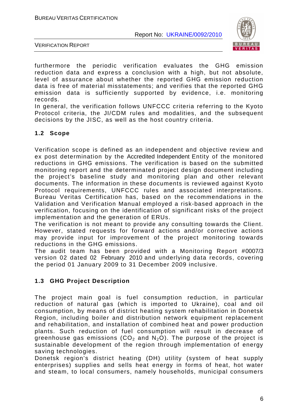

VERIFICATION REPORT

furthermore the periodic verification evaluates the GHG emission reduction data and express a conclusion with a high, but not absolute, level of assurance about whether the reported GHG emission reduction data is free of material misstatements; and verifies that the reported GHG emission data is sufficiently supported by evidence, i.e. monitoring records.

In general, the verification follows UNFCCC criteria referring to the Kyoto Protocol criteria, the JI/CDM rules and modalities, and the subsequent decisions by the JISC, as well as the host country criteria.

#### **1.2 Scope**

Verification scope is defined as an independent and objective review and ex post determination by the Accredited Independent Entity of the monitored reductions in GHG emissions. The verification is based on the submitted monitoring report and the determinated project design document including the project's baseline study and monitoring plan and other relevant documents. The information in these documents is reviewed against Kyoto Protocol requirements, UNFCCC rules and associated interpretations. Bureau Veritas Certification has, based on the recommendations in the Validation and Verification Manual employed a risk-based approach in the verification, focusing on the identification of significant risks of the project implementation and the generation of ERUs.

The verification is not meant to provide any consulting towards the Client. However, stated requests for forward actions and/or corrective actions may provide input for improvement of the project monitoring towards reductions in the GHG emissions.

The audit team has been provided with a Monitoring Report #0007/3 version 02 dated 02 February 2010 and underlying data records, covering the period 01 January 2009 to 31 December 2009 inclusive.

#### **1.3 GHG Project Description**

The project main goal is fuel consumption reduction, in particular reduction of natural gas (which is imported to Ukraine), coal and oil consumption, by means of district heating system rehabilitation in Donetsk Region, including boiler and distribution network equipment replacement and rehabilitation, and installation of combined heat and power production plants. Such reduction of fuel consumption will result in decrease of greenhouse gas emissions ( $CO<sub>2</sub>$  and N<sub>2</sub>O). The purpose of the project is sustainable development of the region through implementation of energy saving technologies.

Donetsk region's district heating (DH) utility (system of heat supply enterprises) supplies and sells heat energy in forms of heat, hot water and steam, to local consumers, namely households, municipal consumers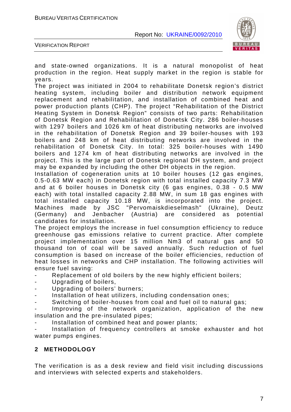

VERIFICATION REPORT

and state-owned organizations. It is a natural monopolist of heat production in the region. Heat supply market in the region is stable for years.

The project was initiated in 2004 to rehabilitate Donetsk region's district heating system, including boiler and distribution network equipment replacement and rehabilitation, and installation of combined heat and power production plants (CHP). The project "Rehabilitation of the District Heating System in Donetsk Region" consists of two parts: Rehabilitation of Donetsk Region and Rehabilitation of Donetsk City. 286 boiler-houses with 1297 boilers and 1026 km of heat distributing networks are involved in the rehabilitation of Donetsk Region and 39 boiler-houses with 193 boilers and 248 km of heat distributing networks are involved in the rehabilitation of Donetsk City. In total: 325 boiler-houses with 1490 boilers and 1274 km of heat distributing networks are involved in the project. This is the large part of Donetsk regional DH system, and project may be expanded by including the other DH objects in the region.

Installation of cogeneration units at 10 boiler houses (12 gas engines, 0.5-0.63 MW each) in Donetsk region with total installed capacity 7.3 MW and at 6 boiler houses in Donetsk city (6 gas engines, 0.38 - 0.5 MW each) with total installed capacity 2.88 MW, in sum 18 gas engines with total installed capacity 10.18 MW, is incorporated into the project. Machines made by JSC "Pervomaiskdieselmash" (Ukraine), Deutz (Germany) and Jenbacher (Austria) are considered as potential candidates for installation.

The project employs the increase in fuel consumption efficiency to reduce greenhouse gas emissions relative to current practice. After complete project implementation over 15 million Nm3 of natural gas and 50 thousand ton of coal will be saved annually. Such reduction of fuel consumption is based on increase of the boiler efficiencies, reduction of heat losses in networks and CHP installation. The following activities will ensure fuel saving:

Replacement of old boilers by the new highly efficient boilers;

- Upgrading of boilers,
- Upgrading of boilers' burners;
- Installation of heat utilizers, including condensation ones;
- Switching of boiler-houses from coal and fuel oil to natural gas;

Improving of the network organization, application of the new insulation and the pre-insulated pipes;

Installation of combined heat and power plants;

Installation of frequency controllers at smoke exhauster and hot water pumps engines.

#### **2 METHODOLOGY**

The verification is as a desk review and field visit including discussions and interviews with selected experts and stakeholders.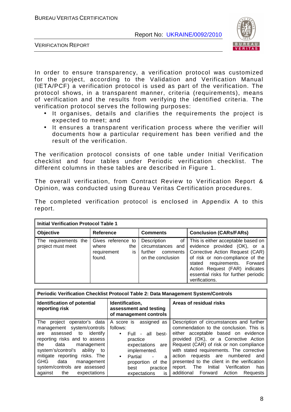

VERIFICATION REPORT

In order to ensure transparency, a verification protocol was customized for the project, according to the Validation and Verification Manual (IETA/PCF) a verification protocol is used as part of the verification. The protocol shows, in a transparent manner, criteria (requirements), means of verification and the results from verifying the identified criteria. The verification protocol serves the following purposes:

- It organises, details and clarifies the requirements the project is expected to meet; and
- It ensures a transparent verification process where the verifier will documents how a particular requirement has been verified and the result of the verification.

The verification protocol consists of one table under Initial Verification checklist and four tables under Periodic verification checklist. The different columns in these tables are described in Figure 1.

The overall verification, from Contract Review to Verification Report & Opinion, was conducted using Bureau Veritas Certification procedures.

The completed verification protocol is enclosed in Appendix A to this report.

| <b>Initial Verification Protocol Table 1</b> |                                                                   |                                                                                    |                                                                                                                                                                                                                                                                       |  |
|----------------------------------------------|-------------------------------------------------------------------|------------------------------------------------------------------------------------|-----------------------------------------------------------------------------------------------------------------------------------------------------------------------------------------------------------------------------------------------------------------------|--|
| Objective                                    | <b>Reference</b>                                                  | <b>Comments</b>                                                                    | <b>Conclusion (CARs/FARs)</b>                                                                                                                                                                                                                                         |  |
| The requirements the<br>project must meet    | Gives reference to<br>where<br>the<br>requirement<br>is<br>found. | Description<br>of<br>circumstances and<br>further<br>comments<br>on the conclusion | This is either acceptable based on<br>evidence provided (OK), or a<br>Corrective Action Request (CAR)<br>of risk or non-compliance of the<br>stated requirements. Forward<br>Action Request (FAR) indicates<br>essential risks for further periodic<br>verifications. |  |

| Periodic Verification Checklist Protocol Table 2: Data Management System/Controls                                                                                                                                                                                                                                                    |                                                                                                                                                                                                                                          |                                                                                                                                                                                                                                                                                                                                                                                                                                                  |  |  |
|--------------------------------------------------------------------------------------------------------------------------------------------------------------------------------------------------------------------------------------------------------------------------------------------------------------------------------------|------------------------------------------------------------------------------------------------------------------------------------------------------------------------------------------------------------------------------------------|--------------------------------------------------------------------------------------------------------------------------------------------------------------------------------------------------------------------------------------------------------------------------------------------------------------------------------------------------------------------------------------------------------------------------------------------------|--|--|
| Identification of potential<br>reporting risk                                                                                                                                                                                                                                                                                        | Identification,<br>assessment and testing<br>of management controls                                                                                                                                                                      | Areas of residual risks                                                                                                                                                                                                                                                                                                                                                                                                                          |  |  |
| operator's data<br>The project<br>management system/controls<br>identify<br>assessed to<br>are<br>reporting risks and to assess<br>the<br>data<br>management<br>system's/control's ability to<br>mitigate reporting risks. The<br><b>GHG</b><br>data<br>management<br>system/controls are assessed<br>the<br>expectations<br>against | A score is<br>assigned as<br>follows:<br>Full - all best-<br>$\bullet$<br>practice<br>expectations<br>are<br>implemented.<br>Partial<br>a<br>$\bullet$<br>$\blacksquare$<br>proportion of the<br>practice<br>best<br>expectations<br>is. | Description of circumstances and further<br>commendation to the conclusion. This is<br>either acceptable based on evidence<br>provided (OK), or a Corrective Action<br>Request (CAR) of risk or non compliance<br>with stated requirements. The corrective<br>requests are numbered<br>action<br>and<br>presented to the client in the verification<br>Initial<br>Verification<br>report. The<br>has<br>additional Forward<br>Action<br>Requests |  |  |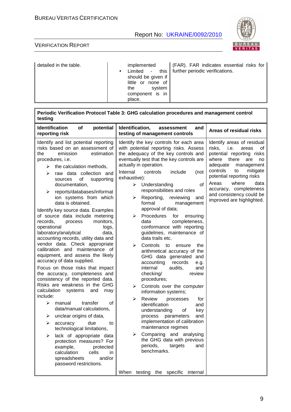

| detailed in the table. | implemented<br>should be given if<br>little or none of<br>the<br>svstem<br>component is in<br>place. | (FAR). FAR indicates essential risks for<br>Limited - this   further periodic verifications. |
|------------------------|------------------------------------------------------------------------------------------------------|----------------------------------------------------------------------------------------------|
|------------------------|------------------------------------------------------------------------------------------------------|----------------------------------------------------------------------------------------------|

| Periodic Verification Protocol Table 3: GHG calculation procedures and management control<br>testing                                                                                                                                                                                                                                                                                                                                                                                                                                                                                                                                                                                                                                                                                                                                                                                                                                                                                                                                                                                                                                                                                                                       |                                                                                                                                                                                                                                                                                                                                                                                                                                                                                                                                                                                                                                                                                                                                                                                                                                                                                                                                                                                                                                                                                                                                                                     |                                                                                                                                                                                                                                                                                                                        |  |
|----------------------------------------------------------------------------------------------------------------------------------------------------------------------------------------------------------------------------------------------------------------------------------------------------------------------------------------------------------------------------------------------------------------------------------------------------------------------------------------------------------------------------------------------------------------------------------------------------------------------------------------------------------------------------------------------------------------------------------------------------------------------------------------------------------------------------------------------------------------------------------------------------------------------------------------------------------------------------------------------------------------------------------------------------------------------------------------------------------------------------------------------------------------------------------------------------------------------------|---------------------------------------------------------------------------------------------------------------------------------------------------------------------------------------------------------------------------------------------------------------------------------------------------------------------------------------------------------------------------------------------------------------------------------------------------------------------------------------------------------------------------------------------------------------------------------------------------------------------------------------------------------------------------------------------------------------------------------------------------------------------------------------------------------------------------------------------------------------------------------------------------------------------------------------------------------------------------------------------------------------------------------------------------------------------------------------------------------------------------------------------------------------------|------------------------------------------------------------------------------------------------------------------------------------------------------------------------------------------------------------------------------------------------------------------------------------------------------------------------|--|
| <b>Identification</b><br>of<br>potential<br>reporting risk                                                                                                                                                                                                                                                                                                                                                                                                                                                                                                                                                                                                                                                                                                                                                                                                                                                                                                                                                                                                                                                                                                                                                                 | Identification,<br>and<br>assessment<br>testing of management controls                                                                                                                                                                                                                                                                                                                                                                                                                                                                                                                                                                                                                                                                                                                                                                                                                                                                                                                                                                                                                                                                                              | Areas of residual risks                                                                                                                                                                                                                                                                                                |  |
| Identify and list potential reporting<br>risks based on an assessment of<br>emission<br>the<br>estimation<br>procedures, i.e.<br>the calculation methods,<br>➤<br>raw data collection and<br>⋗<br>οf<br>supporting<br>sources<br>documentation,<br>reports/databases/informat<br>➤<br>ion systems from which<br>data is obtained.<br>Identify key source data. Examples<br>of source data include metering<br>records,<br>monitors,<br>process<br>operational<br>logs,<br>laboratory/analytical<br>data,<br>accounting records, utility data and<br>vendor data. Check appropriate<br>calibration and maintenance of<br>equipment, and assess the likely<br>accuracy of data supplied.<br>Focus on those risks that impact<br>the accuracy, completeness and<br>consistency of the reported data.<br>Risks are weakness in the GHG<br>calculation<br>systems<br>and<br>may<br>include:<br>⋗<br>manual<br>transfer<br>οf<br>data/manual calculations,<br>unclear origins of data,<br>⋗<br>➤<br>due<br>to<br>accuracy<br>technological limitations,<br>lack of appropriate data<br>➤<br>protection measures? For<br>example,<br>protected<br>calculation<br>cells<br>in.<br>spreadsheets<br>and/or<br>password restrictions. | Identify the key controls for each area<br>with potential reporting risks. Assess<br>the adequacy of the key controls and<br>eventually test that the key controls are<br>actually in operation.<br>Internal<br>controls<br>include<br>(not<br>exhaustive):<br>of<br>➤<br>Understanding<br>responsibilities and roles<br>Reporting,<br>reviewing<br>➤<br>and<br>formal<br>management<br>approval of data;<br>Procedures<br>for<br>➤<br>ensuring<br>completeness,<br>data<br>conformance with reporting<br>guidelines, maintenance of<br>data trails etc.<br>Controls<br>to<br>⋗<br>ensure<br>the<br>arithmetical accuracy of the<br>GHG data generated and<br>records<br>accounting<br>e.g.<br>internal<br>audits,<br>and<br>checking/<br>review<br>procedures;<br>Controls over the computer<br>➤<br>information systems;<br>Review<br>⋗<br>processes<br>for<br>identification<br>and<br>understanding<br>key<br>οf<br>process<br>and<br>parameters<br>implementation of calibration<br>maintenance regimes<br>Comparing and analysing<br>➤<br>the GHG data with previous<br>periods,<br>targets<br>and<br>benchmarks.<br>testing the specific<br>When<br>internal | Identify areas of residual<br>risks,<br>i.e.<br>areas<br>οf<br>potential reporting risks<br>where there<br>are<br>no<br>adequate<br>management<br>controls<br>mitigate<br>to<br>potential reporting risks<br>Areas<br>where<br>data<br>accuracy, completeness<br>and consistency could be<br>improved are highlighted. |  |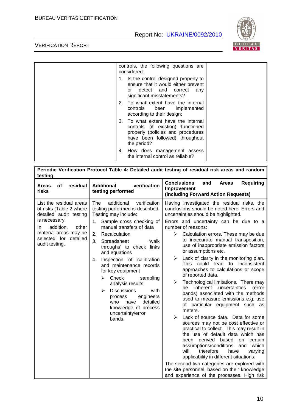

| controls, the following questions are<br>considered:                                                                                                           |  |
|----------------------------------------------------------------------------------------------------------------------------------------------------------------|--|
| 1. Is the control designed properly to<br>ensure that it would either prevent<br>or detect and correct<br>any<br>significant misstatements?                    |  |
| 2. To what extent have the internal<br>controls been implemented<br>according to their design;                                                                 |  |
| 3. To what extent have the internal<br>controls (if existing) functioned<br>properly (policies and procedures<br>have been followed) throughout<br>the period? |  |
| 4. How does management assess<br>the internal control as reliable?                                                                                             |  |

| Periodic Verification Protocol Table 4: Detailed audit testing of residual risk areas and random<br>testing                                                                                    |                                                                                                                                                                                                                                                                                                                                                                                                                                                                                                                                                   |                                                                                                                                                                                                                                                                                                                                                                                                                                                                                                                                                                                                                                                                                                                                                                                                                                                                                                                                                                                                                                                                                                                                                                                                    |  |  |
|------------------------------------------------------------------------------------------------------------------------------------------------------------------------------------------------|---------------------------------------------------------------------------------------------------------------------------------------------------------------------------------------------------------------------------------------------------------------------------------------------------------------------------------------------------------------------------------------------------------------------------------------------------------------------------------------------------------------------------------------------------|----------------------------------------------------------------------------------------------------------------------------------------------------------------------------------------------------------------------------------------------------------------------------------------------------------------------------------------------------------------------------------------------------------------------------------------------------------------------------------------------------------------------------------------------------------------------------------------------------------------------------------------------------------------------------------------------------------------------------------------------------------------------------------------------------------------------------------------------------------------------------------------------------------------------------------------------------------------------------------------------------------------------------------------------------------------------------------------------------------------------------------------------------------------------------------------------------|--|--|
| residual<br>of<br><b>Areas</b><br>risks                                                                                                                                                        | verification<br><b>Additional</b><br>testing performed                                                                                                                                                                                                                                                                                                                                                                                                                                                                                            | <b>Conclusions</b><br><b>Requiring</b><br>and<br><b>Areas</b><br>Improvement<br>(including Forward Action Requests)                                                                                                                                                                                                                                                                                                                                                                                                                                                                                                                                                                                                                                                                                                                                                                                                                                                                                                                                                                                                                                                                                |  |  |
| List the residual areas<br>of risks (Table 2 where<br>detailed audit testing<br>is necessary.<br>addition,<br>other<br>In.<br>material areas may be<br>selected for detailed<br>audit testing. | additional<br>verification<br><b>The</b><br>testing performed is described.<br>Testing may include:<br>Sample cross checking of<br>1.<br>manual transfers of data<br>Recalculation<br>2.<br>3.<br>Spreadsheet<br>'walk<br>throughs' to check links<br>and equations<br>Inspection of calibration<br>4.<br>and maintenance records<br>for key equipment<br>Check<br>⋗<br>sampling<br>analysis results<br><b>Discussions</b><br>⋗<br>with<br>engineers<br>process<br>detailed<br>who<br>have<br>knowledge of process<br>uncertainty/error<br>bands. | Having investigated the residual risks, the<br>conclusions should be noted here. Errors and<br>uncertainties should be highlighted.<br>Errors and uncertainty can be due to a<br>number of reasons:<br>$\triangleright$ Calculation errors. These may be due<br>to inaccurate manual transposition,<br>use of inappropriate emission factors<br>or assumptions etc.<br>Lack of clarity in the monitoring plan.<br>⋗<br>could<br>inconsistent<br><b>This</b><br>lead<br>to<br>approaches to calculations or scope<br>of reported data.<br>Technological limitations. There may<br>➤<br>be inherent<br>uncertainties<br>(error<br>bands) associated with the methods<br>used to measure emissions e.g. use<br>of particular equipment such as<br>meters.<br>Lack of source data. Data for some<br>➤<br>sources may not be cost effective or<br>practical to collect. This may result in<br>the use of default data which has<br>derived<br>based<br>certain<br>been<br>on<br>assumptions/conditions<br>and<br>which<br>will<br>therefore<br>have<br>varying<br>applicability in different situations.<br>The second two categories are explored with<br>the site personnel, based on their knowledge |  |  |
|                                                                                                                                                                                                |                                                                                                                                                                                                                                                                                                                                                                                                                                                                                                                                                   | and experience of the processes. High risk                                                                                                                                                                                                                                                                                                                                                                                                                                                                                                                                                                                                                                                                                                                                                                                                                                                                                                                                                                                                                                                                                                                                                         |  |  |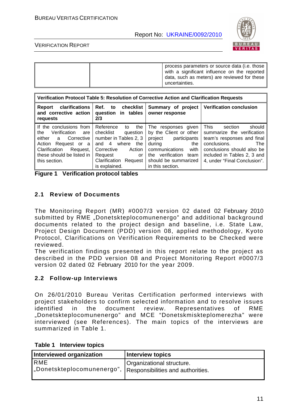

#### VERIFICATION REPORT

|  | process parameters or source data (i.e. those<br>with a significant influence on the reported<br>data, such as meters) are reviewed for these<br>uncertainties. |
|--|-----------------------------------------------------------------------------------------------------------------------------------------------------------------|
|--|-----------------------------------------------------------------------------------------------------------------------------------------------------------------|

| Verification Protocol Table 5: Resolution of Corrective Action and Clarification Requests                                                                                            |                                                                                                                                                                                           |                                                                                                                                                                                                |                                                                                                                                                                                                                  |
|--------------------------------------------------------------------------------------------------------------------------------------------------------------------------------------|-------------------------------------------------------------------------------------------------------------------------------------------------------------------------------------------|------------------------------------------------------------------------------------------------------------------------------------------------------------------------------------------------|------------------------------------------------------------------------------------------------------------------------------------------------------------------------------------------------------------------|
| clarifications<br>Report<br>and corrective action<br>requests                                                                                                                        | Ref. to checklist<br>question in tables<br>2/3                                                                                                                                            | Summary of project<br>owner response                                                                                                                                                           | <b>Verification conclusion</b>                                                                                                                                                                                   |
| If the conclusions from<br>Verification<br>the<br>are<br>either a<br>Corrective<br>Request or a<br>Action<br>Clarification<br>Request,<br>these should be listed in<br>this section. | Reference<br>the<br>to<br>checklist<br>question<br>number in Tables 2, 3<br>where<br>and $4$<br>the<br>Corrective<br>Action<br>Request<br>or<br>Clarification<br>Request<br>is explained. | The responses given<br>by the Client or other<br>project<br>participants<br>during<br>the<br>communications<br>with<br>verification<br>team<br>the<br>should be summarized<br>in this section. | This<br>should<br>section<br>summarize the verification<br>team's responses and final<br>conclusions.<br><b>The</b><br>conclusions should also be<br>included in Tables 2, 3 and<br>4, under "Final Conclusion". |

#### **2.1 Review of Documents**

The Monitoring Report (MR) #0007/3 version 02 dated 02 February 2010 submitted by RME "Donetskteplocomunenergo" and additional background documents related to the project design and baseline, i.e. State Law, Project Design Document (PDD) version 08, applied methodology, Kyoto Protocol, Clarifications on Verification Requirements to be Checked were reviewed.

The verification findings presented in this report relate to the project as described in the PDD version 08 and Project Monitoring Report #0007/3 version 02 dated 02 February 2010 for the year 2009.

#### **2.2 Follow-up Interviews**

On 26/01/2010 Bureau Veritas Certification performed interviews with project stakeholders to confirm selected information and to resolve issues identified in the document review. Representatives of RME "Donetskteplocomunenergo" and MCE "Donetskmiskteplomerezha" were interviewed (see References). The main topics of the interviews are summarized in Table 1.

| Interviewed organization   | <b>Interview topics</b>           |
|----------------------------|-----------------------------------|
| <b>RME</b>                 | Organizational structure.         |
| "Donetskteplocomunenergo", | Responsibilities and authorities. |

| Table 1 | Interview topics |  |
|---------|------------------|--|
|---------|------------------|--|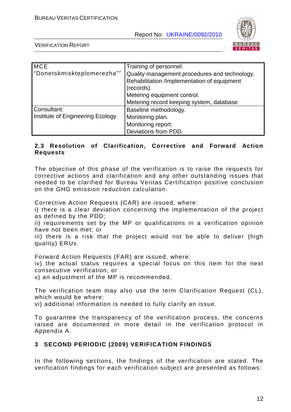

VERIFICATION REPORT

| <b>MCE</b>                       | Training of personnel.                        |
|----------------------------------|-----------------------------------------------|
| "Donetskmiskteplomerezha""       | Quality management procedures and technology. |
|                                  | Rehabilitation /Implementation of equipment   |
|                                  | (records).                                    |
|                                  | Metering equipment control.                   |
|                                  | Metering record keeping system, database.     |
| Consultant:                      | Baseline methodology.                         |
| Institute of Engineering Ecology | Monitoring plan.                              |
|                                  | Monitoring report.                            |
|                                  | Deviations from PDD.                          |

#### **2.3 Resolution of Clarification, Corrective and Forward Action Requests**

The objective of this phase of the verification is to raise the requests for corrective actions and clarification and any other outstanding issues that needed to be clarified for Bureau Veritas Certification positive conclusion on the GHG emission reduction calculation.

Corrective Action Requests (CAR) are issued, where:

i) there is a clear deviation concerning the implementation of the project as defined by the PDD;

ii) requirements set by the MP or qualifications in a verification opinion have not been met; or

iii) there is a risk that the project would not be able to deliver (high quality) ERUs.

Forward Action Requests (FAR) are issued, where:

iv) the actual status requires a special focus on this item for the next consecutive verification, or

v) an adjustment of the MP is recommended.

The verification team may also use the term Clarification Request (CL), which would be where:

vi) additional information is needed to fully clarify an issue.

To guarantee the transparency of the verification process, the concerns raised are documented in more detail in the verification protocol in Appendix A.

#### **3 SECOND PERIODIC (2009) VERIFICATION FINDINGS**

In the following sections, the findings of the verification are stated. The verification findings for each verification subject are presented as follows: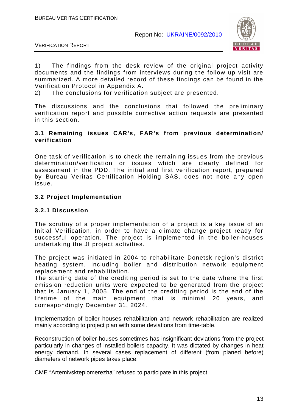

VERIFICATION REPORT

1) The findings from the desk review of the original project activity documents and the findings from interviews during the follow up visit are summarized. A more detailed record of these findings can be found in the Verification Protocol in Appendix A.

2) The conclusions for verification subject are presented.

The discussions and the conclusions that followed the preliminary verification report and possible corrective action requests are presented in this section.

#### **3.1 Remaining issues CAR's, FAR's from previous determination/ verification**

One task of verification is to check the remaining issues from the previous determination/verification or issues which are clearly defined for assessment in the PDD. The initial and first verification report, prepared by Bureau Veritas Certification Holding SAS, does not note any open issue.

#### **3.2 Project Implementation**

#### **3.2.1 Discussion**

The scrutiny of a proper implementation of a project is a key issue of an Initial Verification, in order to have a climate change project ready for successful operation. The project is implemented in the boiler-houses undertaking the JI project activities.

The project was initiated in 2004 to rehabilitate Donetsk region's district heating system, including boiler and distribution network equipment replacement and rehabilitation.

The starting date of the crediting period is set to the date where the first emission reduction units were expected to be generated from the project that is January 1, 2005. The end of the crediting period is the end of the lifetime of the main equipment that is minimal 20 years, and correspondingly December 31, 2024.

Implementation of boiler houses rehabilitation and network rehabilitation are realized mainly according to project plan with some deviations from time-table.

Reconstruction of boiler-houses sometimes has insignificant deviations from the project particularly in changes of installed boilers capacity. It was dictated by changes in heat energy demand. In several cases replacement of different (from planed before) diameters of network pipes takes place.

CME "Artemivskteplomerezha" refused to participate in this project.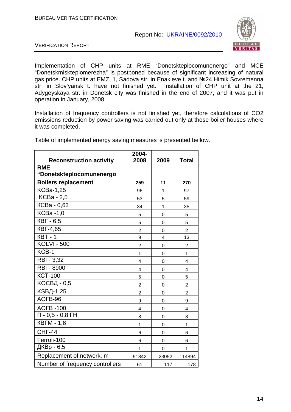

VERIFICATION REPORT

Implementation of CHP units at RME "Donetskteplocomunenergo" and MCE "Donetskmiskteplomerezha" is postponed because of significant increasing of natural gas price. CHP units at EMZ, 1, Sadova str. in Enakieve t. and №24 Himik Sovremenna str. in Slov'yansk t. have not finished yet. Installation of CHP unit at the 21, Adygeyskaya str. in Donetsk city was finished in the end of 2007, and it was put in operation in January, 2008.

Installation of frequency controllers is not finished yet, therefore calculations of CO2 emissions reduction by power saving was carried out only at those boiler houses where it was completed.

|                                        | 2004-          |             |                         |
|----------------------------------------|----------------|-------------|-------------------------|
| <b>Reconstruction activity</b>         | 2008           | 2009        | <b>Total</b>            |
| <b>RME</b><br>"Donetskteplocomunenergo |                |             |                         |
| <b>Boilers replacement</b>             | 259            | 11          | 270                     |
| <b>KCBa-1,25</b>                       | 96             | 1           | 97                      |
| <b>KCBa</b> - 2,5                      | 53             | 5           | 59                      |
| KCBa - 0,63                            | 34             | 1           | 35                      |
| KCBa -1,0                              | 5              | 0           | 5                       |
| <b>KBF</b> - 6,5                       | 5              | 0           | 5                       |
| <b>KBF-4,65</b>                        | $\overline{2}$ | $\mathbf 0$ | $\overline{2}$          |
| $KBT - 1$                              | 9              | 4           | 13                      |
| <b>KOLVI - 500</b>                     | $\overline{2}$ | 0           | $\overline{2}$          |
| KCB-1                                  | 1              | $\mathbf 0$ | $\mathbf 1$             |
| RBI - 3,32                             | 4              | $\mathbf 0$ | 4                       |
| <b>RBI - 8900</b>                      | 4              | $\mathbf 0$ | 4                       |
| <b>KCT-100</b>                         | 5              | $\mathbf 0$ | 5                       |
| КОСВД - 0,5                            | $\overline{2}$ | 0           | $\overline{2}$          |
| <b>KSBД-1,25</b>                       | $\overline{2}$ | 0           | $\overline{\mathbf{c}}$ |
| AOFB-96                                | 9              | $\mathbf 0$ | 9                       |
| <b>AOFB-100</b>                        | 4              | 0           | $\overline{\mathbf{4}}$ |
| $\Pi - 0.5 - 0.8$ $\overline{H}$       | 8              | 0           | 8                       |
| <b>KBFM - 1,6</b>                      | 1              | $\mathbf 0$ | 1                       |
| <b>CHF-44</b>                          | 6              | 0           | 6                       |
| Ferroli-100                            | 6              | 0           | 6                       |
| ДКВр - 6,5                             | 1              | 0           | 1                       |
| Replacement of network, m              | 91842          | 23052       | 114894                  |
| Number of frequency controllers        | 61             | 117         | 178                     |

Table of implemented energy saving measures is presented bellow.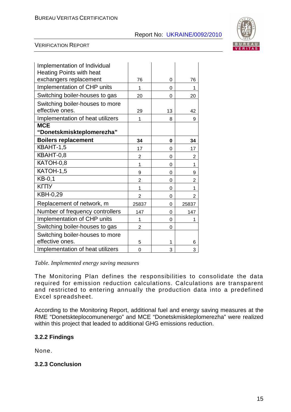

#### VERIFICATION REPORT

| Implementation of Individual<br><b>Heating Points with heat</b> |                |          |                |
|-----------------------------------------------------------------|----------------|----------|----------------|
| exchangers replacement                                          | 76             | 0        | 76             |
| Implementation of CHP units                                     | 1              | $\Omega$ | 1              |
| Switching boiler-houses to gas                                  | 20             | 0        | 20             |
| Switching boiler-houses to more                                 |                |          |                |
| effective ones.                                                 | 29             | 13       | 42             |
| Implementation of heat utilizers                                | 1              | 8        | 9              |
| <b>MCE</b>                                                      |                |          |                |
| "Donetskmiskteplomerezha"                                       |                |          |                |
| <b>Boilers replacement</b>                                      | 34             | 0        | 34             |
| KBAHT-1,5                                                       | 17             | 0        | 17             |
| KBAHT-0,8                                                       | $\overline{2}$ | 0        | 2              |
| KATOH-0,8                                                       | 1              | 0        | 1              |
| KATOH-1,5                                                       | 9              | 0        | 9              |
| $KB-0,1$                                                        | $\overline{2}$ | 0        | 2              |
| КГПУ                                                            | 1              | 0        | 1              |
| KBH-0,29                                                        | $\overline{2}$ | 0        | $\overline{2}$ |
| Replacement of network, m                                       | 25837          | $\Omega$ | 25837          |
| Number of frequency controllers                                 | 147            | 0        | 147            |
| Implementation of CHP units                                     | 1              | 0        | 1              |
| Switching boiler-houses to gas                                  | 2              | $\Omega$ |                |
| Switching boiler-houses to more                                 |                |          |                |
| effective ones.                                                 | 5              | 1        | 6              |
| Implementation of heat utilizers                                | 0              | 3        | 3              |

*Table. Implemented energy saving measures* 

The Monitoring Plan defines the responsibilities to consolidate the data required for emission reduction calculations. Calculations are transparent and restricted to entering annually the production data into a predefined Excel spreadsheet.

According to the Monitoring Report, additional fuel and energy saving measures at the RME "Donetskteplocomunenergo" and MCE "Donetskmiskteplomerezha" were realized within this project that leaded to additional GHG emissions reduction.

#### **3.2.2 Findings**

None.

#### **3.2.3 Conclusion**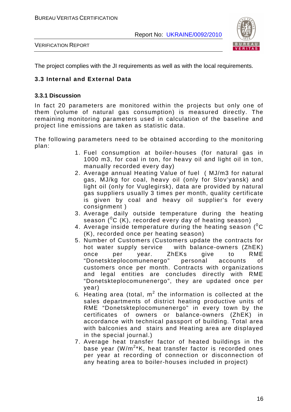

VERIFICATION REPORT

The project complies with the JI requirements as well as with the local requirements.

#### **3.3 Internal and External Data**

#### **3.3.1 Discussion**

In fact 20 parameters are monitored within the projects but only one of them (volume of natural gas consumption) is measured directly. The remaining monitoring parameters used in calculation of the baseline and project line emissions are taken as statistic data.

The following parameters need to be obtained according to the monitoring plan:

- 1. Fuel consumption at boiler-houses (for natural gas in 1000 m3, for coal in ton, for heavy oil and light oil in ton, manually recorded every day)
- 2. Average annual Heating Value of fuel ( MJ/m3 for natural gas, MJ/kg for coal, heavy oil (only for Slov'yansk) and light oil (only for Vuglegirsk), data are provided by natural gas suppliers usually 3 times per month, quality certificate is given by coal and heavy oil supplier's for every consignment )
- 3. Average daily outside temperature during the heating season  $(^0C$  (K), recorded every day of heating season)
- 4. Average inside temperature during the heating season  $(^0C)$ (K), recorded once per heating season)
- 5. Number of Customers (Customers update the contracts for hot water supply service with balance-owners (ZhEK) once per year. ZhEKs give to RME "Donetskteplocomunenergo" personal accounts of customers once per month. Contracts with organizations and legal entities are concludes directly with RME "Donetskteplocomunenergo", they are updated once per year)
- 6. Heating area (total,  $m^2$  the information is collected at the sales departments of district heating productive units of RME "Donetskteplocomunenergo" in every town by the certificates of owners or balance-owners (ZhEK) in accordance with technical passport of building. Total area with balconies and stairs and Heating area are displayed in the special journal.)
- 7. Average heat transfer factor of heated buildings in the base year (W/m<sup>2\*</sup>K, heat transfer factor is recorded ones per year at recording of connection or disconnection of any heating area to boiler-houses included in project)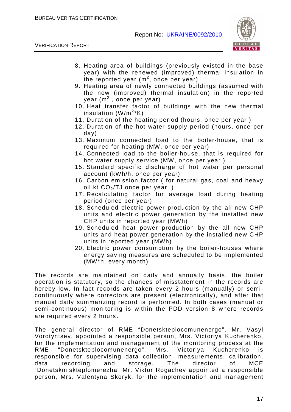

VERIFICATION REPORT

- 8. Heating area of buildings (previously existed in the base year) with the renewed (improved) thermal insulation in the reported year ( $m^2$ , once per year)
- 9. Heating area of newly connected buildings (assumed with the new (improved) thermal insulation) in the reported year (m<sup>2</sup>, once per year)
- 10. Heat transfer factor of buildings with the new thermal insulation  $(\mathsf{W/m^{2*}K})$
- 11. Duration of the heating period (hours, once per year )
- 12. Duration of the hot water supply period (hours, once per day)
- 13. Maximum connected load to the boiler-house, that is required for heating (MW, once per year)
- 14. Connected load to the boiler-house, that is required for hot water supply service (MW, once per year )
- 15. Standard specific discharge of hot water per personal account (kWh/h, once per year)
- 16. Carbon emission factor ( for natural gas, coal and heavy oil kt  $CO<sub>2</sub>/TJ$  once per year)
- 17. Recalculating factor for average load during heating period (once per year)
- 18. Scheduled electric power production by the all new CHP units and electric power generation by the installed new CHP units in reported year (MWh)
- 19. Scheduled heat power production by the all new CHP units and heat power generation by the installed new CHP units in reported year (MWh)
- 20. Electric power consumption by the boiler-houses where energy saving measures are scheduled to be implemented (MW\*h, every month)

The records are maintained on daily and annually basis, the boiler operation is statutory, so the chances of misstatement in the records are hereby low. In fact records are taken every 2 hours (manually) or semicontinuously where correctors are present (electronically), and after that manual daily summarizing record is performed. In both cases (manual or semi-continuous) monitoring is within the PDD version 8 where records are required every 2 hours.

The general director of RME "Donetskteplocomunenergo", Mr. Vasyl Vorotyntsev, appointed a responsible person, Mrs. Victoriya Kucherenko, for the implementation and management of the monitoring process at the RME "Donetskteplocomunenergo". Mrs. Victoriya Kucherenko is responsible for supervising data collection, measurements, calibration, data recording and storage. The director of MCE "Donetskmiskteplomerezha" Mr. Viktor Rogachev appointed a responsible person, Mrs. Valentyna Skoryk, for the implementation and management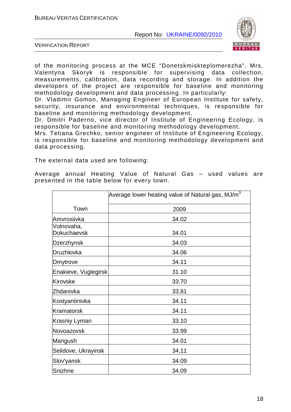

VERIFICATION REPORT

of the monitoring process at the MCE "Donetskmiskteplomerezha". Mrs. Valentyna Skoryk is responsible for supervising data collection, measurements, calibration, data recording and storage. In addition the developers of the project are responsible for baseline and monitoring methodology development and data processing. In particularly:

Dr. Vladimir Gomon, Managing Engineer of European Institute for safety, security, insurance and environmental techniques, is responsible for baseline and monitoring methodology development.

Dr. Dmitri Paderno, vice director of Institute of Engineering Ecology, is responsible for baseline and monitoring methodology development.

Mrs. Tetiana Grechko, senior engineer of Institute of Engineering Ecology, is responsible for baseline and monitoring methodology development and data processing.

The external data used are following:

Average annual Heating Value of Natural Gas – used values are presented in the table below for every town.

|                           | Average lower heating value of Natural gas, MJ/m $^3$ |
|---------------------------|-------------------------------------------------------|
| Town                      | 2009                                                  |
| lAmvrosiivka              | 34.02                                                 |
| Volnovaha,<br>Dokuchaevsk | 34.01                                                 |
| Dzerzhynsk                | 34.03                                                 |
| Druzhkivka                | 34.06                                                 |
| Dmytrove                  | 34.11                                                 |
| Enakieve, Vuglegirsk      | 31.10                                                 |
| Kirovske                  | 33.70                                                 |
| Zhdanivka                 | 33.81                                                 |
| Kostyantinivka            | 34.11                                                 |
| Kramatorsk                | 34.11                                                 |
| Krasniy Lyman             | 33.10                                                 |
| Novoazovsk                | 33.99                                                 |
| Mangush                   | 34.01                                                 |
| Selidove, Ukrayinsk       | 34,11                                                 |
| Slov'yansk                | 34.09                                                 |
| Snizhne                   | 34.09                                                 |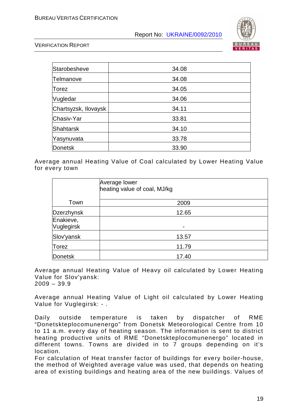

VERIFICATION REPORT

| Starobesheve         | 34.08 |
|----------------------|-------|
| Telmanove            | 34.08 |
| Torez                | 34.05 |
| Vugledar             | 34.06 |
| Chartsyzsk, Ilovaysk | 34.11 |
| Chasiv-Yar           | 33.81 |
| Shahtarsk            | 34.10 |
| Yasynuvata           | 33.78 |
| Donetsk              | 33.90 |

Average annual Heating Value of Coal calculated by Lower Heating Value for every town

|                         | Average lower<br>heating value of coal, MJ/kg |  |
|-------------------------|-----------------------------------------------|--|
| Town                    | 2009                                          |  |
| Dzerzhynsk              | 12.65                                         |  |
| Enakieve,<br>Vuglegirsk | $\overline{\phantom{0}}$                      |  |
| Slov'yansk              | 13.57                                         |  |
| Torez                   | 11.79                                         |  |
| Donetsk                 | 17.40                                         |  |

Average annual Heating Value of Heavy oil calculated by Lower Heating Value for Slov'yansk:  $2009 - 39.9$ 

Average annual Heating Value of Light oil calculated by Lower Heating Value for Vuglegirsk: - .

Daily outside temperature is taken by dispatcher of RME "Donetskteplocomunenergo" from Donetsk Meteorological Centre from 10 to 11 a.m. every day of heating season. The information is sent to district heating productive units of RME "Donetskteplocomunenergo" located in different towns. Towns are divided in to 7 groups depending on it's location.

For calculation of Heat transfer factor of buildings for every boiler-house, the method of Weighted average value was used, that depends on heating area of existing buildings and heating area of the new buildings. Values of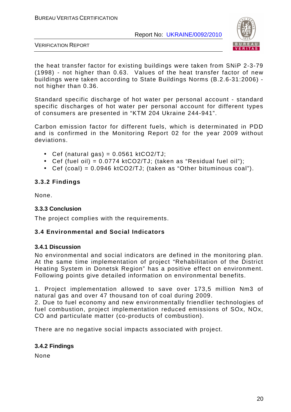

VERIFICATION REPORT

the heat transfer factor for existing buildings were taken from SNiP 2-3-79 (1998) - not higher than 0.63. Values of the heat transfer factor of new buildings were taken according to State Buildings Norms (B.2.6-31:2006) not higher than 0.36.

Standard specific discharge of hot water per personal account - standard specific discharges of hot water per personal account for different types of consumers are presented in "KTM 204 Ukraine 244-941".

Carbon emission factor for different fuels, which is determinated in PDD and is confirmed in the Monitoring Report 02 for the year 2009 without deviations.

- Cef (natural gas) =  $0.0561$  ktCO2/TJ;
- Cef (fuel oil) =  $0.0774$  ktCO2/TJ; (taken as "Residual fuel oil");
- Cef (coal) =  $0.0946$  ktCO2/TJ; (taken as "Other bituminous coal").

#### **3.3.2 Findings**

None.

#### **3.3.3 Conclusion**

The project complies with the requirements.

#### **3.4 Environmental and Social Indicators**

#### **3.4.1 Discussion**

No environmental and social indicators are defined in the monitoring plan. At the same time implementation of project "Rehabilitation of the District Heating System in Donetsk Region" has a positive effect on environment. Following points give detailed information on environmental benefits.

1. Project implementation allowed to save over 173,5 million Nm3 of natural gas and over 47 thousand ton of coal during 2009.

2. Due to fuel economy and new environmentally friendlier technologies of fuel combustion, project implementation reduced emissions of SOx, NOx, CO and particulate matter (co-products of combustion).

There are no negative social impacts associated with project.

#### **3.4.2 Findings**

None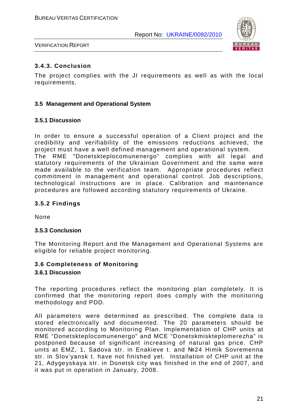

VERIFICATION REPORT

#### **3.4.3. Conclusion**

The project complies with the JI requirements as well as with the local requirements.

#### **3.5 Management and Operational System**

#### **3.5.1 Discussion**

In order to ensure a successful operation of a Client project and the credibility and verifiability of the emissions reductions achieved, the project must have a well defined management and operational system. The RME "Donetskteplocomunenergo" complies with all legal and statutory requirements of the Ukrainian Government and the same were made available to the verification team. Appropriate procedures reflect commitment in management and operational control. Job descriptions, technological instructions are in place. Calibration and maintenance procedures are followed according statutory requirements of Ukraine.

#### **3.5.2 Findings**

None

#### **3.5.3 Conclusion**

The Monitoring Report and the Management and Operational Systems are eligible for reliable project monitoring.

#### **3.6 Completeness of Monitoring**

#### **3.6.1 Discussion**

The reporting procedures reflect the monitoring plan completely. It is confirmed that the monitoring report does comply with the monitoring methodology and PDD.

All parameters were determined as prescribed. The complete data is stored electronically and documented. The 20 parameters should be monitored according to Monitoring Plan. Implementation of CHP units at RME "Donetskteplocomunenergo" and MCE "Donetskmiskteplomerezha" is postponed because of significant increasing of natural gas price. CHP units at EMZ, 1, Sadova str. in Enakieve t. and №24 Himik Sovremenna str. in Slov'yansk t. have not finished yet. Installation of CHP unit at the 21, Adygeyskaya str. in Donetsk city was finished in the end of 2007, and it was put in operation in January, 2008.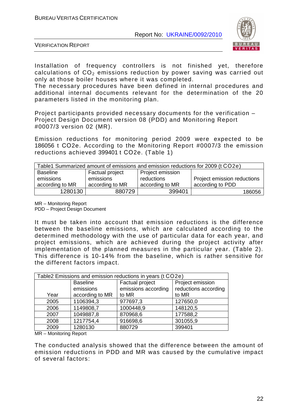

VERIFICATION REPORT

Installation of frequency controllers is not finished yet, therefore calculations of  $CO<sub>2</sub>$  emissions reduction by power saving was carried out only at those boiler houses where it was completed.

The necessary procedures have been defined in internal procedures and additional internal documents relevant for the determination of the 20 parameters listed in the monitoring plan.

Project participants provided necessary documents for the verification – Project Design Document version 08 (PDD) and Monitoring Report #0007/3 version 02 (MR).

Emission reductions for monitoring period 2009 were expected to be 186056 t СО2e. According to the Monitoring Report #0007/3 the emission reductions achieved 399401 t СО2e. (Table 1)

| Table1 Summarized amount of emissions and emission reductions for 2009 (t CO2e) |                 |                  |                             |
|---------------------------------------------------------------------------------|-----------------|------------------|-----------------------------|
| <b>Baseline</b>                                                                 | Factual project | Project emission |                             |
| emissions                                                                       | emissions       | reductions       | Project emission reductions |
| according to MR                                                                 | according to MR | according to MR  | according to PDD            |
| 1280130                                                                         | 880729          | 399401           | 186056                      |

MR – Monitoring Report

PDD – Project Design Document

It must be taken into account that emission reductions is the difference between the baseline emissions, which are calculated according to the determined methodology with the use of particular data for each year, and project emissions, which are achieved during the project activity after implementation of the planned measures in the particular year. (Table 2). This difference is 10-14% from the baseline, which is rather sensitive for the different factors impact.

| Table2 Emissions and emission reductions in years (t CO2e) |                 |                     |                      |
|------------------------------------------------------------|-----------------|---------------------|----------------------|
|                                                            | <b>Baseline</b> | Factual project     | Project emission     |
|                                                            | emissions       | emissions according | reductions according |
| Year                                                       | according to MR | to MR               | to MR                |
| 2005                                                       | 1106394,3       | 977697,3            | 127650,0             |
| 2006                                                       | 1149808,7       | 1000448,9           | 148120,5             |
| 2007                                                       | 1049887,8       | 870968,6            | 177588,2             |
| 2008                                                       | 1217754,4       | 916698,6            | 301055,9             |
| 2009                                                       | 1280130         | 880729              | 399401               |

MR – Monitoring Report

The conducted analysis showed that the difference between the amount of emission reductions in PDD and MR was caused by the cumulative impact of several factors: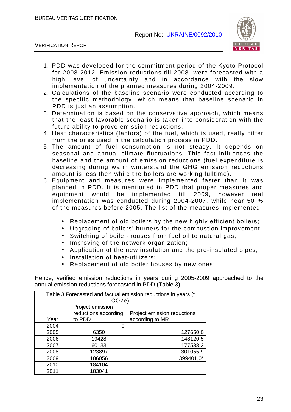

VERIFICATION REPORT

- 1. PDD was developed for the commitment period of the Kyoto Protocol for 2008-2012. Emission reductions till 2008 were forecasted with a high level of uncertainty and in accordance with the slow implementation of the planned measures during 2004-2009.
- 2. Calculations of the baseline scenario were conducted according to the specific methodology, which means that baseline scenario in PDD is just an assumption.
- 3. Determination is based on the conservative approach, which means that the least favorable scenario is taken into consideration with the future ability to prove emission reductions.
- 4. Heat characteristics (factors) of the fuel, which is used, really differ from the ones used in the calculation process in PDD.
- 5. The amount of fuel consumption is not steady. It depends on seasonal and annual climate fluctuations. This fact influences the baseline and the amount of emission reductions (fuel expenditure is decreasing during warm winters,and the GHG emission reductions amount is less then while the boilers are working fulltime).
- 6. Equipment and measures were implemented faster than it was planned in PDD. It is mentioned in PDD that proper measures and equipment would be implemented till 2009, however real implementation was conducted during 2004-2007, while near 50 % of the measures before 2005. The list of the measures implemented:
	- Replacement of old boilers by the new highly efficient boilers;
	- Upgrading of boilers' burners for the combustion improvement;
	- Switching of boiler-houses from fuel oil to natural gas;
	- Improving of the network organization;
	- Application of the new insulation and the pre-insulated pipes;
	- Installation of heat-utilizers;
	- Replacement of old boiler houses by new ones;

Hence, verified emission reductions in years during 2005-2009 approached to the annual emission reductions forecasted in PDD (Table 3).

| Table 3 Forecasted and factual emission reductions in years (t<br>CO2e |                      |                             |
|------------------------------------------------------------------------|----------------------|-----------------------------|
|                                                                        | Project emission     |                             |
|                                                                        | reductions according | Project emission reductions |
| Year                                                                   | to PDD               | according to MR             |
| 2004                                                                   | 0                    |                             |
| 2005                                                                   | 6350                 | 127650,0                    |
| 2006                                                                   | 19428                | 148120,5                    |
| 2007                                                                   | 60133                | 177588,2                    |
| 2008                                                                   | 123897               | 301055,9                    |
| 2009                                                                   | 186056               | 399401,0*                   |
| 2010                                                                   | 184104               |                             |
| 2011                                                                   | 183041               |                             |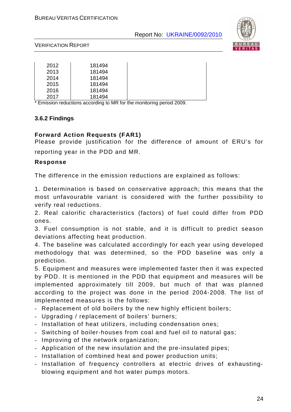

#### VERIFICATION REPORT

| 2012 | 181494 |
|------|--------|
| 2013 | 181494 |
| 2014 | 181494 |
| 2015 | 181494 |
| 2016 | 181494 |
| 2017 | 181494 |

Emission reductions according to MR for the monitoring period 2009.

#### **3.6.2 Findings**

#### **Forward Action Requests (FAR1)**

Please provide justification for the difference of amount of ERU's for reporting year in the PDD and MR.

#### **Response**

The difference in the emission reductions are explained as follows:

1. Determination is based on conservative approach; this means that the most unfavourable variant is considered with the further possibility to verify real reductions.

2. Real calorific characteristics (factors) of fuel could differ from PDD ones.

3. Fuel consumption is not stable, and it is difficult to predict season deviations affecting heat production.

4. The baseline was calculated accordingly for each year using developed methodology that was determined, so the PDD baseline was only a prediction.

5. Equipment and measures were implemented faster then it was expected by PDD. It is mentioned in the PDD that equipment and measures will be implemented approximately till 2009, but much of that was planned according to the project was done in the period 2004-2008. The list of implemented measures is the follows:

- Replacement of old boilers by the new highly efficient boilers;
- Upgrading / replacement of boilers' burners;
- Installation of heat utilizers, including condensation ones;
- Switching of boiler-houses from coal and fuel oil to natural gas;
- Improving of the network organization;
- Application of the new insulation and the pre-insulated pipes;
- Installation of combined heat and power production units;
- Installation of frequency controllers at electric drives of exhaustingblowing equipment and hot water pumps motors.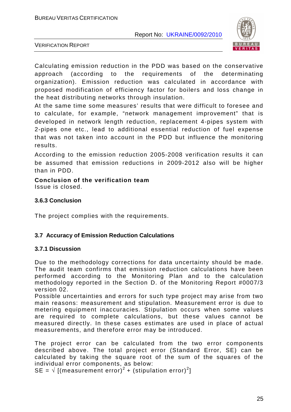

VERIFICATION REPORT

Calculating emission reduction in the PDD was based on the conservative approach (according to the requirements of the determinating organization). Emission reduction was calculated in accordance with proposed modification of efficiency factor for boilers and loss change in the heat distributing networks through insulation.

At the same time some measures' results that were difficult to foresee and to calculate, for example, "network management improvement" that is developed in network length reduction, replacement 4-pipes system with 2-pipes one etc., lead to additional essential reduction of fuel expense that was not taken into account in the PDD but influence the monitoring results.

According to the emission reduction 2005-2008 verification results it can be assumed that emission reductions in 2009-2012 also will be higher than in PDD.

**Conclusion of the verification team**  Issue is closed.

#### **3.6.3 Conclusion**

The project complies with the requirements.

#### **3.7 Accuracy of Emission Reduction Calculations**

#### **3.7.1 Discussion**

Due to the methodology corrections for data uncertainty should be made. The audit team confirms that emission reduction calculations have been performed according to the Monitoring Plan and to the calculation methodology reported in the Section D. of the Monitoring Report #0007/3 version 02.

Possible uncertainties and errors for such type project may arise from two main reasons: measurement and stipulation. Measurement error is due to metering equipment inaccuracies. Stipulation occurs when some values are required to complete calculations, but these values cannot be measured directly. In these cases estimates are used in place of actual measurements, and therefore error may be introduced.

The project error can be calculated from the two error components described above. The total project error (Standard Error, SE) can be calculated by taking the square root of the sum of the squares of the individual error components, as below:

SE =  $\sqrt{\left[\text{(measurement error)}^2 + \text{(stipulation error)}^2\right]}$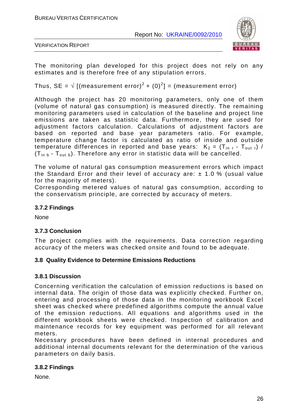

VERIFICATION REPORT

The monitoring plan developed for this project does not rely on any estimates and is therefore free of any stipulation errors.

Thus, SE =  $\sqrt{(}$  [(measurement error)<sup>2</sup> + (0)<sup>2</sup>] = (measurement error)

Although the project has 20 monitoring parameters, only one of them (volume of natural gas consumption) is measured directly. The remaining monitoring parameters used in calculation of the baseline and project line emissions are taken as statistic data. Furthermore, they are used for adjustment factors calculation. Calculations of adjustment factors are based on reported and base year parameters ratio. For example, temperature change factor is calculated as ratio of inside and outside temperature differences in reported and base years:  $K_2 = (T_{in r} - T_{out r})/T$  $(T_{in b} - T_{out b})$ . Therefore any error in statistic data will be cancelled.

The volume of natural gas consumption measurement errors which impact the Standard Error and their level of accuracy are:  $\pm$  1.0 % (usual value for the majority of meters).

Corresponding metered values of natural gas consumption, according to the conservatism principle, are corrected by accuracy of meters.

#### **3.7.2 Findings**

None

#### **3.7.3 Conclusion**

The project complies with the requirements. Data correction regarding accuracy of the meters was checked onsite and found to be adequate.

#### **3.8 Quality Evidence to Determine Emissions Reductions**

#### **3.8.1 Discussion**

Concerning verification the calculation of emission reductions is based on internal data. The origin of those data was explicitly checked. Further on, entering and processing of those data in the monitoring workbook Excel sheet was checked where predefined algorithms compute the annual value of the emission reductions. All equations and algorithms used in the different workbook sheets were checked. Inspection of calibration and maintenance records for key equipment was performed for all relevant meters.

Necessary procedures have been defined in internal procedures and additional internal documents relevant for the determination of the various parameters on daily basis.

#### **3.8.2 Findings**

None.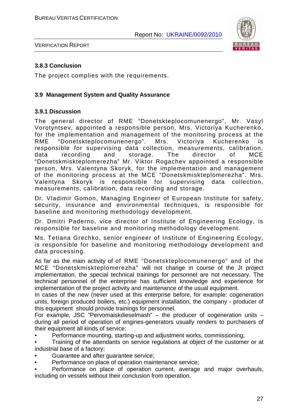

VERIFICATION REPORT

#### **3.8.3 Conclusion**

The project complies with the requirements.

#### **3.9 Management System and Quality Assurance**

#### **3.9.1 Discussion**

The general director of RME "Donetskteplocomunenergo", Mr. Vasyl Vorotyntsev, appointed a responsible person, Mrs. Victoriya Kucherenko, for the implementation and management of the monitoring process at the RME "Donetskteplocomunenergo". Mrs. Victoriya Kucherenko is responsible for supervising data collection, measurements, calibration, data recording and storage. The director of MCE "Donetskmiskteplomerezha" Mr. Viktor Rogachev appointed a responsible person, Mrs. Valentyna Skoryk, for the implementation and management of the monitoring process at the MCE "Donetskmiskteplomerezha". Mrs. Valentyna Skoryk is responsible for supervising data collection, measurements, calibration, data recording and storage.

Dr. Vladimir Gomon, Managing Engineer of European Institute for safety, security, insurance and environmental techniques, is responsible for baseline and monitoring methodology development.

Dr. Dmitri Paderno, vice director of Institute of Engineering Ecology, is responsible for baseline and monitoring methodology development.

Ms. Tetiana Grechko, senior engineer of Institute of Engineering Ecology, is responsible for baseline and monitoring methodology development and data processing.

As far as the main activity of of RME "Donetskteplocomunenergo" and of the MCE "Donetskmiskteplomerezha" will not change in course of the JI project implementation, the special technical trainings for personnel are not necessary. The technical personnel of the enterprise has sufficient knowledge and experience for implementation of the project activity and maintenance of the usual equipment.

In cases of the new (never used at this enterprise before, for example: cogeneration units, foreign produced boilers, etc.) equipment installation, the company - producer of this equipment should provide trainings for personnel.

For example, JSC "Pervomaiskdieselmash" – the producer of cogeneration units – during all period of operation of engines-generators usually renders to purchasers of their equipment all kinds of service:

• Performance mounting, starting-up and adjustment works, commissioning;

• Training of the attendants on service regulations at object of the customer or at industrial base of a factory;

- Guarantee and after guarantee service;
- Performance on place of operation maintenance service:
- Performance on place of operation current, average and major overhauls, including on vessels without their conclusion from operation.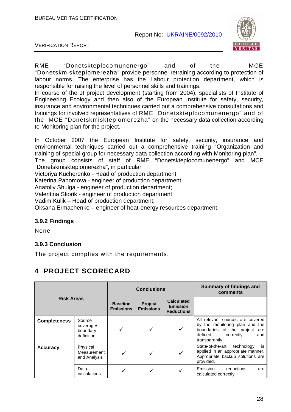

VERIFICATION REPORT

RME "Donetskteplocomunenergo" and of the MCE "Donetskmiskteplomerezha" provide personnel retraining according to protection of labour norms. The enterprise has the Labour protection department, which is responsible for raising the level of personnel skills and trainings.

In course of the JI project development (starting from 2004), specialists of Institute of Engineering Ecology and then also of the European Institute for safety, security, insurance and environmental techniques carried out a comprehensive consultations and trainings for involved representatives of RME "Donetskteplocomunenergo" and of the MCE "Donetskmiskteplomerezha" on the necessary data collection according to Monitoring plan for the project.

In October 2007 the European Institute for safety, security, insurance and environmental techniques carried out a comprehensive training "Organization and training of special group for necessary data collection according with Monitoring plan".

The group consists of staff of RME "Donetskteplocomunenergo" and MCE "Donetskmiskteplomerezha", in particular

Victoriya Kucherenko - Head of production department;

Katerina Pahomova - engineer of production department;

Anatoliy Shulga - engineer of production department;

Valentina Skorik - engineer of production department;

Vadim Kulik – Head of production department;

Oksana Ermachenko – engineer of heat-energy resources department.

#### **3.9.2 Findings**

None

#### **3.9.3 Conclusion**

The project complies with the requirements.

## **4 PROJECT SCORECARD**

| <b>Risk Areas</b>   |                                               | <b>Conclusions</b>                  |                                    |                                                           | Summary of findings and<br>comments                                                                                                                     |
|---------------------|-----------------------------------------------|-------------------------------------|------------------------------------|-----------------------------------------------------------|---------------------------------------------------------------------------------------------------------------------------------------------------------|
|                     |                                               | <b>Baseline</b><br><b>Emissions</b> | <b>Project</b><br><b>Emissions</b> | <b>Calculated</b><br><b>Emission</b><br><b>Reductions</b> |                                                                                                                                                         |
| <b>Completeness</b> | Source<br>coverage/<br>boundary<br>definition |                                     |                                    | ✓                                                         | All relevant sources are covered<br>by the monitoring plan and the<br>boundaries of the project<br>are<br>defined<br>correctly<br>and<br>transparently. |
| <b>Accuracy</b>     | Physical<br>Measurement<br>and Analysis       |                                     |                                    | ✓                                                         | State-of-the-art<br>technology<br>is<br>applied in an appropriate manner.<br>Appropriate backup solutions are<br>provided.                              |
|                     | Data<br>calculations                          |                                     |                                    |                                                           | Emission<br>reductions<br>are<br>calculated correctly                                                                                                   |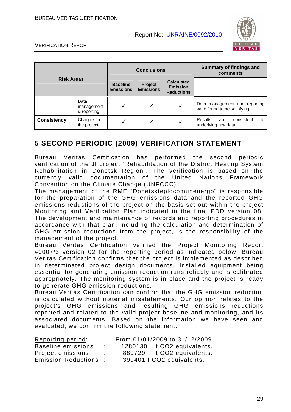

VERIFICATION REPORT

| <b>Risk Areas</b>  |                                   | <b>Conclusions</b>                  |                             |                                                           | <b>Summary of findings and</b><br>comments                    |
|--------------------|-----------------------------------|-------------------------------------|-----------------------------|-----------------------------------------------------------|---------------------------------------------------------------|
|                    |                                   | <b>Baseline</b><br><b>Emissions</b> | Project<br><b>Emissions</b> | <b>Calculated</b><br><b>Emission</b><br><b>Reductions</b> |                                                               |
|                    | Data<br>management<br>& reporting | ✓                                   |                             | ✓                                                         | Data management and reporting<br>were found to be satisfying. |
| <b>Consistency</b> | Changes in<br>the project         | ✓                                   |                             | v                                                         | consistent<br>Results<br>to<br>are<br>underlying raw data.    |

## **5 SECOND PERIODIC (2009) VERIFICATION STATEMENT**

Bureau Veritas Certification has performed the second periodic verification of the JI project "Rehabilitation of the District Heating System Rehabilitation in Donetsk Region". The verification is based on the currently valid documentation of the United Nations Framework Convention on the Climate Change (UNFCCC).

The management of the RME "Donetskteplocomunenergo" is responsible for the preparation of the GHG emissions data and the reported GHG emissions reductions of the project on the basis set out within the project Monitoring and Verification Plan indicated in the final PDD version 08. The development and maintenance of records and reporting procedures in accordance with that plan, including the calculation and determination of GHG emission reductions from the project, is the responsibility of the management of the project.

Bureau Veritas Certification verified the Project Monitoring Report #0007/3 version 02 for the reporting period as indicated below. Bureau Veritas Certification confirms that the project is implemented as described in determinated project design documents. Installed equipment being essential for generating emission reduction runs reliably and is calibrated appropriately. The monitoring system is in place and the project is ready to generate GHG emission reductions.

Bureau Veritas Certification can confirm that the GHG emission reduction is calculated without material misstatements. Our opinion relates to the project's GHG emissions and resulting GHG emissions reductions reported and related to the valid project baseline and monitoring, and its associated documents. Based on the information we have seen and evaluated, we confirm the following statement:

| Reporting period:            |    |        | From 01/01/2009 to 31/12/2009 |
|------------------------------|----|--------|-------------------------------|
| Baseline emissions           | ÷. |        | 1280130 t CO2 equivalents.    |
| Project emissions            | ÷. | 880729 | t CO2 equivalents.            |
| <b>Emission Reductions :</b> |    |        | 399401 t CO2 equivalents.     |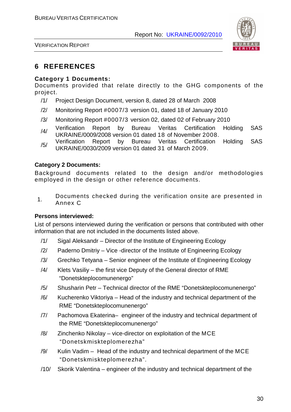

VERIFICATION REPORT

## **6 REFERENCES**

#### **Category 1 Documents:**

Documents provided that relate directly to the GHG components of the project.

- /1/ Project Design Document, version 8, dated 28 of March 2008
- /2/ Monitoring Report #0007/3 version 01, dated 18 of January 2010
- /3/ Monitoring Report #0007/3 version 02, dated 02 of February 2010
- /4/ Verification Report by Bureau Veritas Certification Holding SAS<br>UKRAINE/0009/2008 version 01 dated 18 of November 2008.
- /5/ Verification Report by Bureau Veritas Certification Holding SAS UKRAINE/0030/2009 version 01 dated 31 of March 2009.

#### **Category 2 Documents:**

Background documents related to the design and/or methodologies employed in the design or other reference documents.

1. Documents checked during the verification onsite are presented in Annex C

#### **Persons interviewed:**

List of persons interviewed during the verification or persons that contributed with other information that are not included in the documents listed above.

- /1/ Sigal Aleksandr Director of the Institute of Engineering Ecology
- /2/ Paderno Dmitriy Vice -director of the Institute of Engineering Ecology
- /3/ Grechko Tetyana Senior engineer of the Institute of Engineering Ecology
- /4/ Klets Vasiliy the first vice Deputy of the General director of RME "Donetskteplocomunenergo"
- /5/ Shusharin Petr Technical director of the RME "Donetskteplocomunenergo"
- /6/ Kucherenko Viktoriya Head of the industry and technical department of the RME "Donetskteplocomunenergo"
- /7/ Pachomova Ekaterina– engineer of the industry and technical department of the RME "Donetskteplocomunenergo"
- /8/ Zinchenko Nikolay vice-director on exploitation of the MCE "Donetskmiskteplomerezha"
- /9/ Kulin Vadim Head of the industry and technical department of the MCE "Donetskmiskteplomerezha".
- /10/ Skorik Valentina engineer of the industry and technical department of the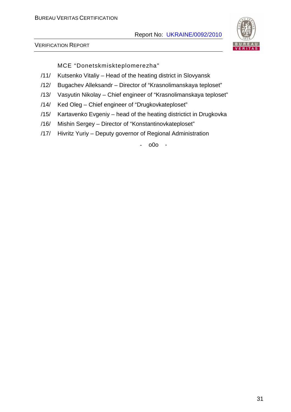

VERIFICATION REPORT

MCE "Donetskmiskteplomerezha"

- /11/ Kutsenko Vitaliy Head of the heating district in Slovyansk
- /12/ Bugachev Alleksandr Director of "Krasnolimanskaya teploset"
- /13/ Vasyutin Nikolay Chief engineer of "Krasnolimanskaya teploset"
- /14/ Ked Oleg Chief engineer of "Drugkovkateploset"
- /15/ Kartavenko Evgeniy head of the heating districtict in Drugkovka
- /16/ Mishin Sergey Director of "Konstantinovkateploset"
- /17/ Hivritz Yuriy Deputy governor of Regional Administration

- o0o -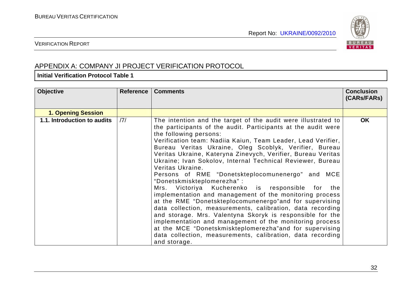

#### VERIFICATION REPORT

## APPENDIX A: COMPANY JI PROJECT VERIFICATION PROTOCOL

#### **Initial Verification Protocol Table 1**

| <b>Objective</b>            | <b>Reference</b> | <b>Comments</b>                                                                                                                                                                                                                                                                                                                                                                                                                                                                                                                                                                                                                                                                                                                                                                                                                                                                                                                                                                                                                      | <b>Conclusion</b><br>(CARs/FARs) |
|-----------------------------|------------------|--------------------------------------------------------------------------------------------------------------------------------------------------------------------------------------------------------------------------------------------------------------------------------------------------------------------------------------------------------------------------------------------------------------------------------------------------------------------------------------------------------------------------------------------------------------------------------------------------------------------------------------------------------------------------------------------------------------------------------------------------------------------------------------------------------------------------------------------------------------------------------------------------------------------------------------------------------------------------------------------------------------------------------------|----------------------------------|
| <b>1. Opening Session</b>   |                  |                                                                                                                                                                                                                                                                                                                                                                                                                                                                                                                                                                                                                                                                                                                                                                                                                                                                                                                                                                                                                                      |                                  |
| 1.1. Introduction to audits | /7/              | The intention and the target of the audit were illustrated to<br>the participants of the audit. Participants at the audit were<br>the following persons:<br>Verification team: Nadiia Kaiun, Team Leader, Lead Verifier,<br>Bureau Veritas Ukraine, Oleg Scoblyk, Verifier, Bureau<br>Veritas Ukraine, Kateryna Zinevych, Verifier, Bureau Veritas<br>Ukraine; Ivan Sokolov, Internal Technical Reviewer, Bureau<br>Veritas Ukraine.<br>Persons of RME "Donetskteplocomunenergo" and MCE<br>"Donetskmiskteplomerezha":<br>Mrs. Victoriya Kucherenko is responsible for<br>the<br>implementation and management of the monitoring process<br>at the RME "Donetskteplocomunenergo" and for supervising<br>data collection, measurements, calibration, data recording<br>and storage. Mrs. Valentyna Skoryk is responsible for the<br>implementation and management of the monitoring process<br>at the MCE "Donetskmiskteplomerezha" and for supervising<br>data collection, measurements, calibration, data recording<br>and storage. | <b>OK</b>                        |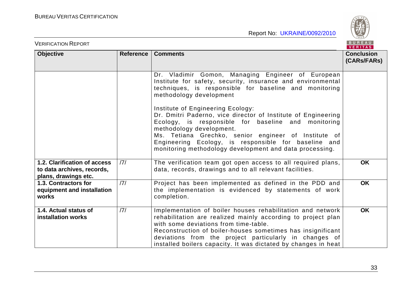VERIFICATION REPORT

BUREAU

|                                                                                    |                  |                                                                                                                                                                                                                                                                                                                                                                  | <b>VERIIAS</b>                   |
|------------------------------------------------------------------------------------|------------------|------------------------------------------------------------------------------------------------------------------------------------------------------------------------------------------------------------------------------------------------------------------------------------------------------------------------------------------------------------------|----------------------------------|
| <b>Objective</b>                                                                   | <b>Reference</b> | <b>Comments</b>                                                                                                                                                                                                                                                                                                                                                  | <b>Conclusion</b><br>(CARs/FARs) |
|                                                                                    |                  | Dr. Vladimir Gomon, Managing Engineer of European<br>Institute for safety, security, insurance and environmental<br>techniques, is responsible for baseline and monitoring<br>methodology development                                                                                                                                                            |                                  |
|                                                                                    |                  | Institute of Engineering Ecology:<br>Dr. Dmitri Paderno, vice director of Institute of Engineering<br>Ecology, is responsible for baseline and monitoring<br>methodology development.<br>Ms. Tetiana Grechko, senior engineer of Institute of<br>Engineering Ecology, is responsible for baseline and<br>monitoring methodology development and data processing. |                                  |
| 1.2. Clarification of access<br>to data archives, records,<br>plans, drawings etc. | 7                | The verification team got open access to all required plans,<br>data, records, drawings and to all relevant facilities.                                                                                                                                                                                                                                          | <b>OK</b>                        |
| 1.3. Contractors for<br>equipment and installation<br>works                        | 7                | Project has been implemented as defined in the PDD and<br>the implementation is evidenced by statements of work<br>completion.                                                                                                                                                                                                                                   | <b>OK</b>                        |
| 1.4. Actual status of<br>installation works                                        | 7                | Implementation of boiler houses rehabilitation and network<br>rehabilitation are realized mainly according to project plan<br>with some deviations from time-table.<br>Reconstruction of boiler-houses sometimes has insignificant<br>deviations from the project particularly in changes of<br>installed boilers capacity. It was dictated by changes in heat   | <b>OK</b>                        |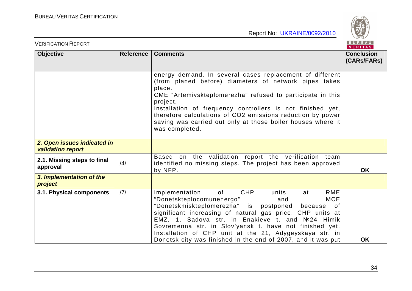

| <b>VERIFICATION REPORT</b>                              |           |                                                                                                                                                                                                                                                                                                                                                                                                                                                                       | BUREAU<br><b>VERITAS</b>         |
|---------------------------------------------------------|-----------|-----------------------------------------------------------------------------------------------------------------------------------------------------------------------------------------------------------------------------------------------------------------------------------------------------------------------------------------------------------------------------------------------------------------------------------------------------------------------|----------------------------------|
| <b>Objective</b>                                        | Reference | <b>Comments</b>                                                                                                                                                                                                                                                                                                                                                                                                                                                       | <b>Conclusion</b><br>(CARs/FARs) |
|                                                         |           | energy demand. In several cases replacement of different<br>(from planed before) diameters of network pipes takes<br>place.<br>CME "Artemivskteplomerezha" refused to participate in this<br>project.<br>Installation of frequency controllers is not finished yet,<br>therefore calculations of CO2 emissions reduction by power<br>saving was carried out only at those boiler houses where it<br>was completed.                                                    |                                  |
| 2. Open issues indicated in<br><b>validation report</b> |           |                                                                                                                                                                                                                                                                                                                                                                                                                                                                       |                                  |
| 2.1. Missing steps to final<br>approval                 | /4/       | Based on the validation report the verification team<br>identified no missing steps. The project has been approved<br>by NFP.                                                                                                                                                                                                                                                                                                                                         | <b>OK</b>                        |
| 3. Implementation of the<br>project                     |           |                                                                                                                                                                                                                                                                                                                                                                                                                                                                       |                                  |
| 3.1. Physical components                                | 7         | Implementation<br>of<br>CHP<br>RME<br>units<br>at<br>"Donetskteplocomunenergo"<br><b>MCE</b><br>and<br>"Donetskmiskteplomerezha" is postponed<br>because<br>of<br>significant increasing of natural gas price. CHP units at<br>EMZ, 1, Sadova str. in Enakieve t. and №24 Himik<br>Sovremenna str. in Slov'yansk t. have not finished yet.<br>Installation of CHP unit at the 21, Adygeyskaya str. in<br>Donetsk city was finished in the end of 2007, and it was put | <b>OK</b>                        |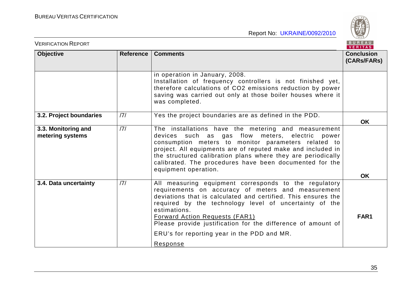

| <b>VERIFICATION REPORT</b>              |           |                                                                                                                                                                                                                                                                                                                                                                                                                            | BUREAU<br>VERITAS                |
|-----------------------------------------|-----------|----------------------------------------------------------------------------------------------------------------------------------------------------------------------------------------------------------------------------------------------------------------------------------------------------------------------------------------------------------------------------------------------------------------------------|----------------------------------|
| <b>Objective</b>                        | Reference | <b>Comments</b>                                                                                                                                                                                                                                                                                                                                                                                                            | <b>Conclusion</b><br>(CARs/FARs) |
|                                         |           | in operation in January, 2008.<br>Installation of frequency controllers is not finished yet,<br>therefore calculations of CO2 emissions reduction by power<br>saving was carried out only at those boiler houses where it<br>was completed.                                                                                                                                                                                |                                  |
| 3.2. Project boundaries                 | 7         | Yes the project boundaries are as defined in the PDD.                                                                                                                                                                                                                                                                                                                                                                      | <b>OK</b>                        |
| 3.3. Monitoring and<br>metering systems | 7         | The installations have the metering and measurement<br>devices such as gas flow meters, electric power<br>consumption meters to monitor parameters related to<br>project. All equipments are of reputed make and included in<br>the structured calibration plans where they are periodically<br>calibrated. The procedures have been documented for the<br>equipment operation.                                            | <b>OK</b>                        |
| 3.4. Data uncertainty                   | 7         | All measuring equipment corresponds to the regulatory<br>requirements on accuracy of meters and measurement<br>deviations that is calculated and certified. This ensures the<br>required by the technology level of uncertainty of the<br>estimations.<br><b>Forward Action Requests (FAR1)</b><br>Please provide justification for the difference of amount of<br>ERU's for reporting year in the PDD and MR.<br>Response | FAR1                             |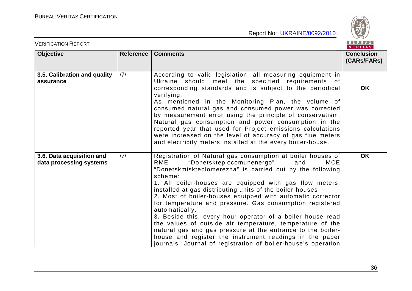BUREAU

| <b>VERIFICATION REPORT</b>                           |                  |                                                                                                                                                                                                                                                                                                                                                                                                                                                                                                                                                                                                                                                                                                                                                                                       | BUREAU<br><b>VERITAS</b>         |
|------------------------------------------------------|------------------|---------------------------------------------------------------------------------------------------------------------------------------------------------------------------------------------------------------------------------------------------------------------------------------------------------------------------------------------------------------------------------------------------------------------------------------------------------------------------------------------------------------------------------------------------------------------------------------------------------------------------------------------------------------------------------------------------------------------------------------------------------------------------------------|----------------------------------|
| <b>Objective</b>                                     | <b>Reference</b> | <b>Comments</b>                                                                                                                                                                                                                                                                                                                                                                                                                                                                                                                                                                                                                                                                                                                                                                       | <b>Conclusion</b><br>(CARs/FARs) |
| 3.5. Calibration and quality<br>assurance            | /7/              | According to valid legislation, all measuring equipment in<br>Ukraine should meet the specified requirements of<br>corresponding standards and is subject to the periodical<br>verifying.<br>As mentioned in the Monitoring Plan, the volume of<br>consumed natural gas and consumed power was corrected<br>by measurement error using the principle of conservatism.<br>Natural gas consumption and power consumption in the<br>reported year that used for Project emissions calculations<br>were increased on the level of accuracy of gas flue meters<br>and electricity meters installed at the every boiler-house.                                                                                                                                                              | <b>OK</b>                        |
| 3.6. Data acquisition and<br>data processing systems | /7/              | Registration of Natural gas consumption at boiler houses of<br>"Donetskteplocomunenergo"<br>RME<br><b>MCE</b><br>and<br>"Donetskmiskteplomerezha" is carried out by the following<br>scheme:<br>1. All boiler-houses are equipped with gas flow meters,<br>installed at gas distributing units of the boiler-houses<br>2. Most of boiler-houses equipped with automatic corrector<br>for temperature and pressure. Gas consumption registered<br>automatically.<br>3. Beside this, every hour operator of a boiler house read<br>the values of outside air temperature, temperature of the<br>natural gas and gas pressure at the entrance to the boiler-<br>house and register the instrument readings in the paper<br>journals "Journal of registration of boiler-house's operation | <b>OK</b>                        |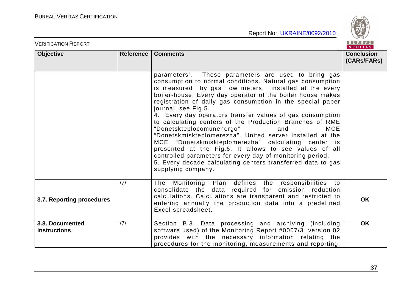VERIFICATION REPORT



|                                        |           |                                                                                                                                                                                                                                                                                                                                                                                                                                                                                                                                                                                                                                                                                                                                                                                                                                          | 1.111172                         |
|----------------------------------------|-----------|------------------------------------------------------------------------------------------------------------------------------------------------------------------------------------------------------------------------------------------------------------------------------------------------------------------------------------------------------------------------------------------------------------------------------------------------------------------------------------------------------------------------------------------------------------------------------------------------------------------------------------------------------------------------------------------------------------------------------------------------------------------------------------------------------------------------------------------|----------------------------------|
| <b>Objective</b>                       | Reference | <b>Comments</b>                                                                                                                                                                                                                                                                                                                                                                                                                                                                                                                                                                                                                                                                                                                                                                                                                          | <b>Conclusion</b><br>(CARs/FARs) |
|                                        |           | parameters". These parameters are used to bring gas<br>consumption to normal conditions. Natural gas consumption<br>is measured by gas flow meters, installed at the every<br>boiler-house. Every day operator of the boiler house makes<br>registration of daily gas consumption in the special paper<br>journal, see Fig.5.<br>4. Every day operators transfer values of gas consumption<br>to calculating centers of the Production Branches of RME<br>"Donetskteplocomunenergo"<br><b>MCE</b><br>and<br>"Donetskmiskteplomerezha". United server installed at the<br>MCE "Donetskmiskteplomerezha" calculating center is<br>presented at the Fig.6. It allows to see values of all<br>controlled parameters for every day of monitoring period.<br>5. Every decade calculating centers transferred data to gas<br>supplying company. |                                  |
| 3.7. Reporting procedures              | 7         | The Monitoring Plan defines the responsibilities to<br>consolidate the data required for emission reduction<br>calculations. Calculations are transparent and restricted to<br>entering annually the production data into a predefined<br>Excel spreadsheet.                                                                                                                                                                                                                                                                                                                                                                                                                                                                                                                                                                             | <b>OK</b>                        |
| 3.8. Documented<br><b>instructions</b> | 7         | Section B.3. Data processing and archiving (including<br>software used) of the Monitoring Report #0007/3 version 02<br>provides with the necessary information relating the<br>procedures for the monitoring, measurements and reporting.                                                                                                                                                                                                                                                                                                                                                                                                                                                                                                                                                                                                | <b>OK</b>                        |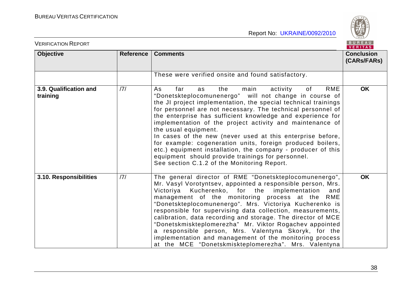

| <b>VERIFICATION REPORT</b>         |           |                                                                                                                                                                                                                                                                                                                                                                                                                                                                                                                                                                                                                                                                                                              | BUREAU<br><b>VERITAS</b>         |
|------------------------------------|-----------|--------------------------------------------------------------------------------------------------------------------------------------------------------------------------------------------------------------------------------------------------------------------------------------------------------------------------------------------------------------------------------------------------------------------------------------------------------------------------------------------------------------------------------------------------------------------------------------------------------------------------------------------------------------------------------------------------------------|----------------------------------|
| <b>Objective</b>                   | Reference | <b>Comments</b>                                                                                                                                                                                                                                                                                                                                                                                                                                                                                                                                                                                                                                                                                              | <b>Conclusion</b><br>(CARs/FARs) |
|                                    |           | These were verified onsite and found satisfactory.                                                                                                                                                                                                                                                                                                                                                                                                                                                                                                                                                                                                                                                           |                                  |
| 3.9. Qualification and<br>training | 7         | <b>RME</b><br>activity<br>As<br>far<br>the<br>main<br>of<br>as<br>"Donetskteplocomunenergo" will not change in course of<br>the JI project implementation, the special technical trainings<br>for personnel are not necessary. The technical personnel of<br>the enterprise has sufficient knowledge and experience for<br>implementation of the project activity and maintenance of<br>the usual equipment.<br>In cases of the new (never used at this enterprise before,<br>for example: cogeneration units, foreign produced boilers,<br>etc.) equipment installation, the company - producer of this<br>equipment should provide trainings for personnel.<br>See section C.1.2 of the Monitoring Report. | <b>OK</b>                        |
| 3.10. Responsibilities             | 7         | The general director of RME "Donetskteplocomunenergo",<br>Mr. Vasyl Vorotyntsev, appointed a responsible person, Mrs.<br>Victoriya<br>Kucherenko, for the<br>implementation<br>and<br>management of the monitoring process at the<br>RME<br>"Donetskteplocomunenergo". Mrs. Victoriya Kucherenko is<br>responsible for supervising data collection, measurements,<br>calibration, data recording and storage. The director of MCE<br>"Donetskmiskteplomerezha" Mr. Viktor Rogachev appointed<br>a responsible person, Mrs. Valentyna Skoryk, for the<br>implementation and management of the monitoring process<br>at the MCE "Donetskmiskteplomerezha". Mrs. Valentyna                                      | <b>OK</b>                        |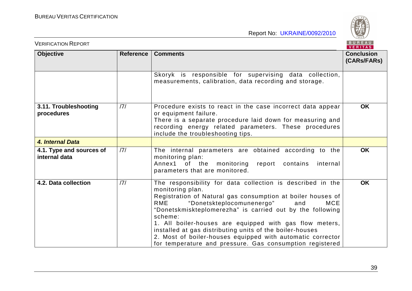

| <b>VERIFICATION REPORT</b>                |           |                                                                                                                                                                                                                                                                                                                                                                                                                                                                                                                          | BUREAU<br>VERITAS                |
|-------------------------------------------|-----------|--------------------------------------------------------------------------------------------------------------------------------------------------------------------------------------------------------------------------------------------------------------------------------------------------------------------------------------------------------------------------------------------------------------------------------------------------------------------------------------------------------------------------|----------------------------------|
| <b>Objective</b>                          | Reference | <b>Comments</b>                                                                                                                                                                                                                                                                                                                                                                                                                                                                                                          | <b>Conclusion</b><br>(CARs/FARs) |
|                                           |           | Skoryk is responsible for supervising data collection,<br>measurements, calibration, data recording and storage.                                                                                                                                                                                                                                                                                                                                                                                                         |                                  |
| 3.11. Troubleshooting<br>procedures       | 7         | Procedure exists to react in the case incorrect data appear<br>or equipment failure.<br>There is a separate procedure laid down for measuring and<br>recording energy related parameters. These procedures<br>include the troubleshooting tips.                                                                                                                                                                                                                                                                          | <b>OK</b>                        |
| 4. Internal Data                          |           |                                                                                                                                                                                                                                                                                                                                                                                                                                                                                                                          |                                  |
| 4.1. Type and sources of<br>internal data | 7         | The internal parameters are obtained according to the<br>monitoring plan:<br>Annex1 of the monitoring report contains<br>internal<br>parameters that are monitored.                                                                                                                                                                                                                                                                                                                                                      | <b>OK</b>                        |
| 4.2. Data collection                      | 7         | The responsibility for data collection is described in the<br>monitoring plan.<br>Registration of Natural gas consumption at boiler houses of<br>"Donetskteplocomunenergo"<br>RME<br>and<br>MCE<br>"Donetskmiskteplomerezha" is carried out by the following<br>scheme:<br>1. All boiler-houses are equipped with gas flow meters,<br>installed at gas distributing units of the boiler-houses<br>2. Most of boiler-houses equipped with automatic corrector<br>for temperature and pressure. Gas consumption registered | <b>OK</b>                        |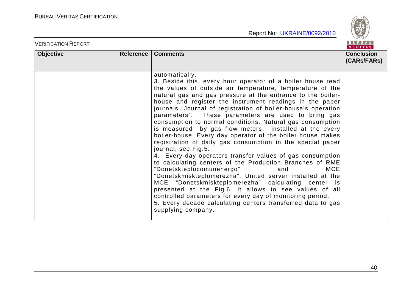

|                  |           |                                                               | VENIIAS I         |
|------------------|-----------|---------------------------------------------------------------|-------------------|
| <b>Objective</b> | Reference | <b>Comments</b>                                               | <b>Conclusion</b> |
|                  |           |                                                               | (CARs/FARs)       |
|                  |           |                                                               |                   |
|                  |           |                                                               |                   |
|                  |           | automatically.                                                |                   |
|                  |           | 3. Beside this, every hour operator of a boiler house read    |                   |
|                  |           | the values of outside air temperature, temperature of the     |                   |
|                  |           | natural gas and gas pressure at the entrance to the boiler-   |                   |
|                  |           |                                                               |                   |
|                  |           | house and register the instrument readings in the paper       |                   |
|                  |           | journals "Journal of registration of boiler-house's operation |                   |
|                  |           | parameters". These parameters are used to bring gas           |                   |
|                  |           | consumption to normal conditions. Natural gas consumption     |                   |
|                  |           | is measured by gas flow meters, installed at the every        |                   |
|                  |           | boiler-house. Every day operator of the boiler house makes    |                   |
|                  |           | registration of daily gas consumption in the special paper    |                   |
|                  |           |                                                               |                   |
|                  |           | journal, see Fig.5.                                           |                   |
|                  |           | 4. Every day operators transfer values of gas consumption     |                   |
|                  |           | to calculating centers of the Production Branches of RME      |                   |
|                  |           | "Donetskteplocomunenergo"<br><b>MCE</b><br>and                |                   |
|                  |           | "Donetskmiskteplomerezha". United server installed at the     |                   |
|                  |           | MCE "Donetskmiskteplomerezha" calculating center is           |                   |
|                  |           | presented at the Fig.6. It allows to see values of all        |                   |
|                  |           |                                                               |                   |
|                  |           | controlled parameters for every day of monitoring period.     |                   |
|                  |           | 5. Every decade calculating centers transferred data to gas   |                   |
|                  |           | supplying company.                                            |                   |
|                  |           |                                                               |                   |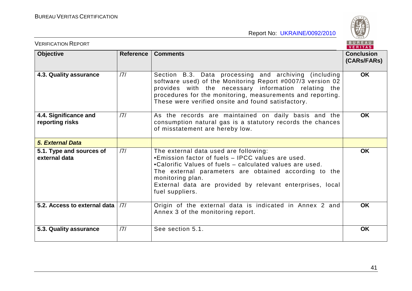BUREAU

| <b>VERIFICATION REPORT</b>                |           |                                                                                                                                                                                                                                                                                                                     | BUREAU<br><b>VERITAS</b>         |
|-------------------------------------------|-----------|---------------------------------------------------------------------------------------------------------------------------------------------------------------------------------------------------------------------------------------------------------------------------------------------------------------------|----------------------------------|
| <b>Objective</b>                          | Reference | <b>Comments</b>                                                                                                                                                                                                                                                                                                     | <b>Conclusion</b><br>(CARs/FARs) |
| 4.3. Quality assurance                    | 7         | Section B.3. Data processing and archiving (including<br>software used) of the Monitoring Report #0007/3 version 02<br>provides with the necessary information relating the<br>procedures for the monitoring, measurements and reporting.<br>These were verified onsite and found satisfactory.                     | <b>OK</b>                        |
| 4.4. Significance and<br>reporting risks  | 7         | As the records are maintained on daily basis and the<br>consumption natural gas is a statutory records the chances<br>of misstatement are hereby low.                                                                                                                                                               | <b>OK</b>                        |
| <b>5. External Data</b>                   |           |                                                                                                                                                                                                                                                                                                                     |                                  |
| 5.1. Type and sources of<br>external data | 7         | The external data used are following:<br>•Emission factor of fuels - IPCC values are used.<br>•Calorific Values of fuels – calculated values are used.<br>The external parameters are obtained according to the<br>monitoring plan.<br>External data are provided by relevant enterprises, local<br>fuel suppliers. | <b>OK</b>                        |
| 5.2. Access to external data              | 7         | Origin of the external data is indicated in Annex 2 and<br>Annex 3 of the monitoring report.                                                                                                                                                                                                                        | <b>OK</b>                        |
| 5.3. Quality assurance                    | 7         | See section 5.1.                                                                                                                                                                                                                                                                                                    | <b>OK</b>                        |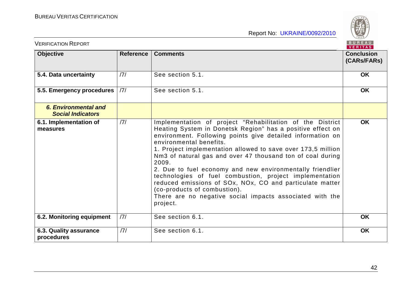

| <b>VERIFICATION REPORT</b>                              |           |                                                                                                                                                                                                                                                                                                                                                                                                                                                                                                                                                                                                                                                     | BUREAU<br><b>VERITAS</b>         |
|---------------------------------------------------------|-----------|-----------------------------------------------------------------------------------------------------------------------------------------------------------------------------------------------------------------------------------------------------------------------------------------------------------------------------------------------------------------------------------------------------------------------------------------------------------------------------------------------------------------------------------------------------------------------------------------------------------------------------------------------------|----------------------------------|
| <b>Objective</b>                                        | Reference | <b>Comments</b>                                                                                                                                                                                                                                                                                                                                                                                                                                                                                                                                                                                                                                     | <b>Conclusion</b><br>(CARs/FARs) |
| 5.4. Data uncertainty                                   | 7         | See section 5.1.                                                                                                                                                                                                                                                                                                                                                                                                                                                                                                                                                                                                                                    | <b>OK</b>                        |
| 5.5. Emergency procedures   /7/                         |           | See section 5.1.                                                                                                                                                                                                                                                                                                                                                                                                                                                                                                                                                                                                                                    | <b>OK</b>                        |
| <b>6. Environmental and</b><br><b>Social Indicators</b> |           |                                                                                                                                                                                                                                                                                                                                                                                                                                                                                                                                                                                                                                                     |                                  |
| 6.1. Implementation of<br>measures                      | 7         | Implementation of project "Rehabilitation of the District<br>Heating System in Donetsk Region" has a positive effect on<br>environment. Following points give detailed information on<br>environmental benefits.<br>1. Project implementation allowed to save over 173,5 million<br>Nm3 of natural gas and over 47 thousand ton of coal during<br>2009.<br>2. Due to fuel economy and new environmentally friendlier<br>technologies of fuel combustion, project implementation<br>reduced emissions of SOx, NOx, CO and particulate matter<br>(co-products of combustion).<br>There are no negative social impacts associated with the<br>project. | <b>OK</b>                        |
| 6.2. Monitoring equipment                               | 7         | See section 6.1.                                                                                                                                                                                                                                                                                                                                                                                                                                                                                                                                                                                                                                    | <b>OK</b>                        |
| 6.3. Quality assurance<br>procedures                    | 7         | See section 6.1.                                                                                                                                                                                                                                                                                                                                                                                                                                                                                                                                                                                                                                    | <b>OK</b>                        |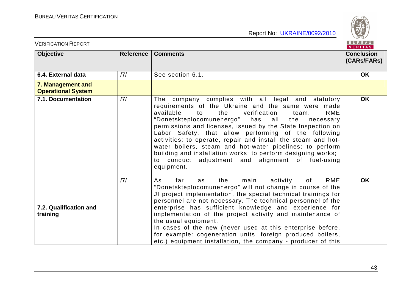

| <b>VERIFICATION REPORT</b>                     |           |                                                                                                                                                                                                                                                                                                                                                                                                                                                                                                                                                                                                                                | BUREAU<br><b>VERITAS</b>         |
|------------------------------------------------|-----------|--------------------------------------------------------------------------------------------------------------------------------------------------------------------------------------------------------------------------------------------------------------------------------------------------------------------------------------------------------------------------------------------------------------------------------------------------------------------------------------------------------------------------------------------------------------------------------------------------------------------------------|----------------------------------|
| <b>Objective</b>                               | Reference | <b>Comments</b>                                                                                                                                                                                                                                                                                                                                                                                                                                                                                                                                                                                                                | <b>Conclusion</b><br>(CARs/FARs) |
| 6.4. External data                             | 7         | See section 6.1.                                                                                                                                                                                                                                                                                                                                                                                                                                                                                                                                                                                                               | <b>OK</b>                        |
| 7. Management and<br><b>Operational System</b> |           |                                                                                                                                                                                                                                                                                                                                                                                                                                                                                                                                                                                                                                |                                  |
| 7.1. Documentation                             | 7         | The company complies with all legal and statutory<br>requirements of the Ukraine and the same were made<br>available<br>the<br>verification<br><b>RME</b><br>to<br>team.<br>"Donetskteplocomunenergo"<br>all<br>has<br>the<br>necessary<br>permissions and licenses, issued by the State Inspection on<br>Labor Safety, that allow performing of the following<br>activities: to operate, repair and install the steam and hot-<br>water boilers, steam and hot-water pipelines; to perform<br>building and installation works; to perform designing works;<br>to conduct adjustment and alignment of fuel-using<br>equipment. | <b>OK</b>                        |
| 7.2. Qualification and<br>training             | 7         | <b>RME</b><br>main<br>activity<br>As<br>the<br>of<br>far<br>as<br>"Donetskteplocomunenergo" will not change in course of the<br>JI project implementation, the special technical trainings for<br>personnel are not necessary. The technical personnel of the<br>enterprise has sufficient knowledge and experience for<br>implementation of the project activity and maintenance of<br>the usual equipment.<br>In cases of the new (never used at this enterprise before,<br>for example: cogeneration units, foreign produced boilers,<br>etc.) equipment installation, the company - producer of this                       | <b>OK</b>                        |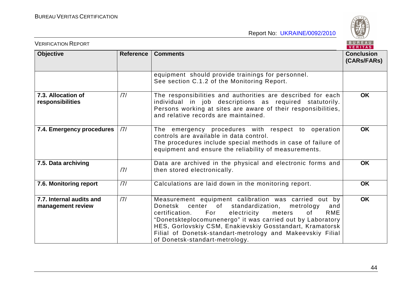BUREAU

| <b>VERIFICATION REPORT</b>                    |     |                                                                                                                                                                                                                                                                                                                                                                                                         | BUREAU<br>VERITAS                |
|-----------------------------------------------|-----|---------------------------------------------------------------------------------------------------------------------------------------------------------------------------------------------------------------------------------------------------------------------------------------------------------------------------------------------------------------------------------------------------------|----------------------------------|
| <b>Objective</b><br>Reference                 |     | <b>Comments</b>                                                                                                                                                                                                                                                                                                                                                                                         | <b>Conclusion</b><br>(CARs/FARs) |
|                                               |     | equipment should provide trainings for personnel.<br>See section C.1.2 of the Monitoring Report.                                                                                                                                                                                                                                                                                                        |                                  |
| 7.3. Allocation of<br>responsibilities        | /7/ | The responsibilities and authorities are described for each<br>individual in job descriptions as required statutorily.<br>Persons working at sites are aware of their responsibilities,<br>and relative records are maintained.                                                                                                                                                                         | <b>OK</b>                        |
| 7.4. Emergency procedures                     | 7   | The emergency procedures with respect to operation<br>controls are available in data control.<br>The procedures include special methods in case of failure of<br>equipment and ensure the reliability of measurements.                                                                                                                                                                                  | <b>OK</b>                        |
| 7.5. Data archiving                           | 7   | Data are archived in the physical and electronic forms and<br>then stored electronically.                                                                                                                                                                                                                                                                                                               | <b>OK</b>                        |
| 7.6. Monitoring report                        | 7   | Calculations are laid down in the monitoring report.                                                                                                                                                                                                                                                                                                                                                    | <b>OK</b>                        |
| 7.7. Internal audits and<br>management review | 7   | Measurement equipment calibration was carried out by<br>Donetsk center of standardization,<br>metrology<br>and<br>For<br>electricity<br>RME<br>certification.<br>meters<br>of<br>"Donetskteplocomunenergo" it was carried out by Laboratory<br>HES, Gorlovskiy CSM, Enakievskiy Gosstandart, Kramatorsk<br>Filial of Donetsk-standart-metrology and Makeevskiy Filial<br>of Donetsk-standart-metrology. | <b>OK</b>                        |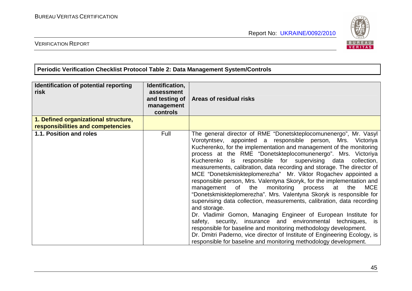

## VERIFICATION REPORT

**Periodic Verification Checklist Protocol Table 2: Data Management System/Controls** 

| Identification of potential reporting<br>risk                             | Identification,<br>assessment<br>and testing of<br>management<br>controls | Areas of residual risks                                                                                                                                                                                                                                                                                                                                                                                                                                                                                                                                                                                                                                                                                                                                                                                                                                                                                                                                                                                                                                                                                                                              |
|---------------------------------------------------------------------------|---------------------------------------------------------------------------|------------------------------------------------------------------------------------------------------------------------------------------------------------------------------------------------------------------------------------------------------------------------------------------------------------------------------------------------------------------------------------------------------------------------------------------------------------------------------------------------------------------------------------------------------------------------------------------------------------------------------------------------------------------------------------------------------------------------------------------------------------------------------------------------------------------------------------------------------------------------------------------------------------------------------------------------------------------------------------------------------------------------------------------------------------------------------------------------------------------------------------------------------|
| 1. Defined organizational structure,<br>responsibilities and competencies |                                                                           |                                                                                                                                                                                                                                                                                                                                                                                                                                                                                                                                                                                                                                                                                                                                                                                                                                                                                                                                                                                                                                                                                                                                                      |
| 1.1. Position and roles                                                   | Full                                                                      | The general director of RME "Donetskteplocomunenergo", Mr. Vasyl<br>Vorotyntsev, appointed a responsible person, Mrs. Victoriya<br>Kucherenko, for the implementation and management of the monitoring<br>process at the RME "Donetskteplocomunenergo". Mrs. Victoriya<br>Kucherenko is responsible for supervising data collection,<br>measurements, calibration, data recording and storage. The director of<br>MCE "Donetskmiskteplomerezha" Mr. Viktor Rogachev appointed a<br>responsible person, Mrs. Valentyna Skoryk, for the implementation and<br>management of the monitoring process at<br><b>MCE</b><br>the<br>"Donetskmiskteplomerezha". Mrs. Valentyna Skoryk is responsible for<br>supervising data collection, measurements, calibration, data recording<br>and storage.<br>Dr. Vladimir Gomon, Managing Engineer of European Institute for<br>safety, security, insurance and environmental techniques,<br>is<br>responsible for baseline and monitoring methodology development.<br>Dr. Dmitri Paderno, vice director of Institute of Engineering Ecology, is<br>responsible for baseline and monitoring methodology development. |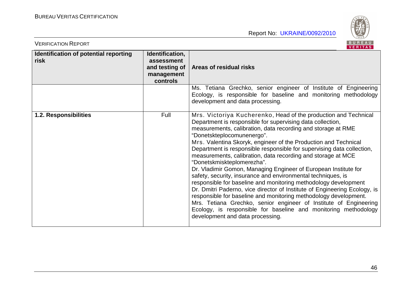

| <b>VERIFICATION REPORT</b>                    |                                                                           | BUREAU<br><b>VERITAS</b>                                                                                                                                                                                                                                                                                                                                                                                                                                                                                                                                                                                                                                                                                                                                                                                                                                                                                                                                                                                  |
|-----------------------------------------------|---------------------------------------------------------------------------|-----------------------------------------------------------------------------------------------------------------------------------------------------------------------------------------------------------------------------------------------------------------------------------------------------------------------------------------------------------------------------------------------------------------------------------------------------------------------------------------------------------------------------------------------------------------------------------------------------------------------------------------------------------------------------------------------------------------------------------------------------------------------------------------------------------------------------------------------------------------------------------------------------------------------------------------------------------------------------------------------------------|
| Identification of potential reporting<br>risk | Identification,<br>assessment<br>and testing of<br>management<br>controls | Areas of residual risks                                                                                                                                                                                                                                                                                                                                                                                                                                                                                                                                                                                                                                                                                                                                                                                                                                                                                                                                                                                   |
|                                               |                                                                           | Ms. Tetiana Grechko, senior engineer of Institute of Engineering<br>Ecology, is responsible for baseline and monitoring methodology<br>development and data processing.                                                                                                                                                                                                                                                                                                                                                                                                                                                                                                                                                                                                                                                                                                                                                                                                                                   |
| 1.2. Responsibilities                         | Full                                                                      | Mrs. Victoriya Kucherenko, Head of the production and Technical<br>Department is responsible for supervising data collection,<br>measurements, calibration, data recording and storage at RME<br>"Donetskteplocomunenergo".<br>Mrs. Valentina Skoryk, engineer of the Production and Technical<br>Department is responsible responsible for supervising data collection,<br>measurements, calibration, data recording and storage at MCE<br>"Donetskmiskteplomerezha".<br>Dr. Vladimir Gomon, Managing Engineer of European Institute for<br>safety, security, insurance and environmental techniques, is<br>responsible for baseline and monitoring methodology development<br>Dr. Dmitri Paderno, vice director of Institute of Engineering Ecology, is<br>responsible for baseline and monitoring methodology development.<br>Mrs. Tetiana Grechko, senior engineer of Institute of Engineering<br>Ecology, is responsible for baseline and monitoring methodology<br>development and data processing. |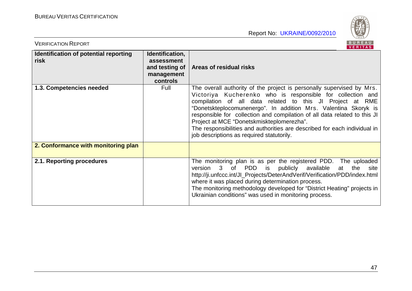

| <b>VERIFICATION REPORT</b>                    |                                                                           | BUREAU<br>VERITAS                                                                                                                                                                                                                                                                                                                                                                                                                                                                                                       |
|-----------------------------------------------|---------------------------------------------------------------------------|-------------------------------------------------------------------------------------------------------------------------------------------------------------------------------------------------------------------------------------------------------------------------------------------------------------------------------------------------------------------------------------------------------------------------------------------------------------------------------------------------------------------------|
| Identification of potential reporting<br>risk | Identification,<br>assessment<br>and testing of<br>management<br>controls | Areas of residual risks                                                                                                                                                                                                                                                                                                                                                                                                                                                                                                 |
| 1.3. Competencies needed                      | Full                                                                      | The overall authority of the project is personally supervised by Mrs.<br>Victoriya Kucherenko who is responsible for collection and<br>compilation of all data related to this JI Project at RME<br>"Donetskteplocomunenergo". In addition Mrs. Valentina Skoryk is<br>responsible for collection and compilation of all data related to this JI<br>Project at MCE "Donetskmiskteplomerezha".<br>The responsibilities and authorities are described for each individual in<br>job descriptions as required statutorily. |
| 2. Conformance with monitoring plan           |                                                                           |                                                                                                                                                                                                                                                                                                                                                                                                                                                                                                                         |
| 2.1. Reporting procedures                     |                                                                           | The monitoring plan is as per the registered PDD. The uploaded<br>of PDD is<br>publicly<br>available<br>the<br>version<br>$\mathbf{3}$<br>at<br>site<br>http://ji.unfccc.int/Jl_Projects/DeterAndVerif/Verification/PDD/index.html<br>where it was placed during determination process.<br>The monitoring methodology developed for "District Heating" projects in<br>Ukrainian conditions" was used in monitoring process.                                                                                             |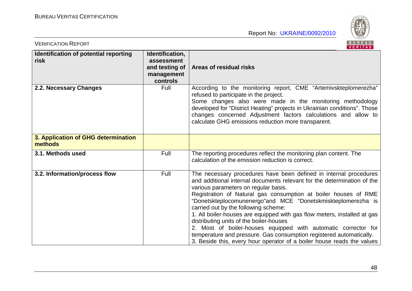

| <b>VERIFICATION REPORT</b>                     |                                                                           | BUREAU<br><b>VERITAS</b>                                                                                                                                                                                                                                                                                                                                                                                                                                                                                                                                                                                                                                                                                  |
|------------------------------------------------|---------------------------------------------------------------------------|-----------------------------------------------------------------------------------------------------------------------------------------------------------------------------------------------------------------------------------------------------------------------------------------------------------------------------------------------------------------------------------------------------------------------------------------------------------------------------------------------------------------------------------------------------------------------------------------------------------------------------------------------------------------------------------------------------------|
| Identification of potential reporting<br>risk  | Identification,<br>assessment<br>and testing of<br>management<br>controls | <b>Areas of residual risks</b>                                                                                                                                                                                                                                                                                                                                                                                                                                                                                                                                                                                                                                                                            |
| 2.2. Necessary Changes                         | Full                                                                      | According to the monitoring report, CME "Artemivskteplomerezha"<br>refused to participate in the project.<br>Some changes also were made in the monitoring methodology<br>developed for "District Heating" projects in Ukrainian conditions". Those<br>changes concerned Adjustment factors calculations and allow to<br>calculate GHG emissions reduction more transparent.                                                                                                                                                                                                                                                                                                                              |
| 3. Application of GHG determination<br>methods |                                                                           |                                                                                                                                                                                                                                                                                                                                                                                                                                                                                                                                                                                                                                                                                                           |
| 3.1. Methods used                              | Full                                                                      | The reporting procedures reflect the monitoring plan content. The<br>calculation of the emission reduction is correct.                                                                                                                                                                                                                                                                                                                                                                                                                                                                                                                                                                                    |
| 3.2. Information/process flow                  | Full                                                                      | The necessary procedures have been defined in internal procedures<br>and additional internal documents relevant for the determination of the<br>various parameters on regular basis.<br>Registration of Natural gas consumption at boiler houses of RME<br>"Donetskteplocomunenergo"and MCE "Donetskmiskteplomerezha is<br>carried out by the following scheme:<br>1. All boiler-houses are equipped with gas flow meters, installed at gas<br>distributing units of the boiler-houses<br>2. Most of boiler-houses equipped with automatic corrector for<br>temperature and pressure. Gas consumption registered automatically.<br>3. Beside this, every hour operator of a boiler house reads the values |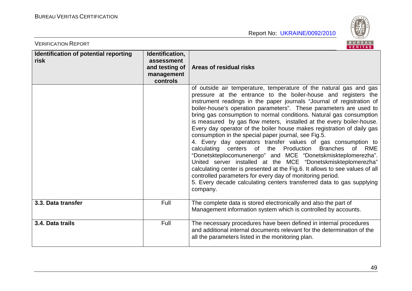VERIFICATION REPORT



|                                               |                                                                           | <b>VERIIAS</b>                                                                                                                                                                                                                                                                                                                                                                                                                                                                                                                                                                                                                                                                                                                                                                                                                                                                                                                                                                                                                                                                            |
|-----------------------------------------------|---------------------------------------------------------------------------|-------------------------------------------------------------------------------------------------------------------------------------------------------------------------------------------------------------------------------------------------------------------------------------------------------------------------------------------------------------------------------------------------------------------------------------------------------------------------------------------------------------------------------------------------------------------------------------------------------------------------------------------------------------------------------------------------------------------------------------------------------------------------------------------------------------------------------------------------------------------------------------------------------------------------------------------------------------------------------------------------------------------------------------------------------------------------------------------|
| Identification of potential reporting<br>risk | Identification,<br>assessment<br>and testing of<br>management<br>controls | Areas of residual risks                                                                                                                                                                                                                                                                                                                                                                                                                                                                                                                                                                                                                                                                                                                                                                                                                                                                                                                                                                                                                                                                   |
|                                               |                                                                           | of outside air temperature, temperature of the natural gas and gas<br>pressure at the entrance to the boiler-house and registers the<br>instrument readings in the paper journals "Journal of registration of<br>boiler-house's operation parameters". These parameters are used to<br>bring gas consumption to normal conditions. Natural gas consumption<br>is measured by gas flow meters, installed at the every boiler-house.<br>Every day operator of the boiler house makes registration of daily gas<br>consumption in the special paper journal, see Fig.5.<br>4. Every day operators transfer values of gas consumption to<br>calculating centers of the<br>Production<br><b>Branches</b><br><b>of</b><br>RME<br>"Donetskteplocomunenergo" and MCE "Donetskmiskteplomerezha".<br>United server installed at the MCE "Donetskmiskteplomerezha"<br>calculating center is presented at the Fig.6. It allows to see values of all<br>controlled parameters for every day of monitoring period.<br>5. Every decade calculating centers transferred data to gas supplying<br>company. |
| 3.3. Data transfer                            | Full                                                                      | The complete data is stored electronically and also the part of<br>Management information system which is controlled by accounts.                                                                                                                                                                                                                                                                                                                                                                                                                                                                                                                                                                                                                                                                                                                                                                                                                                                                                                                                                         |
| 3.4. Data trails                              | Full                                                                      | The necessary procedures have been defined in internal procedures<br>and additional internal documents relevant for the determination of the<br>all the parameters listed in the monitoring plan.                                                                                                                                                                                                                                                                                                                                                                                                                                                                                                                                                                                                                                                                                                                                                                                                                                                                                         |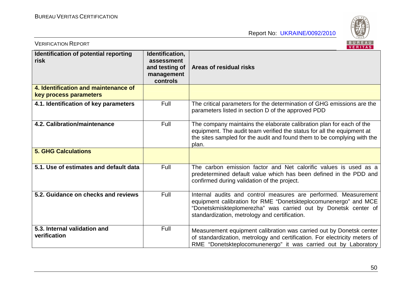

| <b>VERIFICATION REPORT</b>                                     |                                                                           | BUREAU<br><b>VERITAS</b>                                                                                                                                                                                                                              |
|----------------------------------------------------------------|---------------------------------------------------------------------------|-------------------------------------------------------------------------------------------------------------------------------------------------------------------------------------------------------------------------------------------------------|
| Identification of potential reporting<br>risk                  | Identification,<br>assessment<br>and testing of<br>management<br>controls | <b>Areas of residual risks</b>                                                                                                                                                                                                                        |
| 4. Identification and maintenance of<br>key process parameters |                                                                           |                                                                                                                                                                                                                                                       |
| 4.1. Identification of key parameters                          | Full                                                                      | The critical parameters for the determination of GHG emissions are the<br>parameters listed in section D of the approved PDD                                                                                                                          |
| 4.2. Calibration/maintenance                                   | Full                                                                      | The company maintains the elaborate calibration plan for each of the<br>equipment. The audit team verified the status for all the equipment at<br>the sites sampled for the audit and found them to be complying with the<br>plan.                    |
| <b>5. GHG Calculations</b>                                     |                                                                           |                                                                                                                                                                                                                                                       |
| 5.1. Use of estimates and default data                         | Full                                                                      | The carbon emission factor and Net calorific values is used as a<br>predetermined default value which has been defined in the PDD and<br>confirmed during validation of the project.                                                                  |
| 5.2. Guidance on checks and reviews                            | Full                                                                      | Internal audits and control measures are performed. Measurement<br>equipment calibration for RME "Donetskteplocomunenergo" and MCE<br>"Donetskmiskteplomerezha" was carried out by Donetsk center of<br>standardization, metrology and certification. |
| 5.3. Internal validation and<br>verification                   | Full                                                                      | Measurement equipment calibration was carried out by Donetsk center<br>of standardization, metrology and certification. For electricity meters of<br>RME "Donetskteplocomunenergo" it was carried out by Laboratory                                   |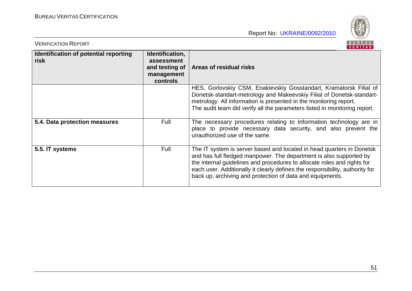

| <b>VERIFICATION REPORT</b>                    |                                                                           | BUREAU<br><b>VERITAS</b>                                                                                                                                                                                                                                                                                                                                            |
|-----------------------------------------------|---------------------------------------------------------------------------|---------------------------------------------------------------------------------------------------------------------------------------------------------------------------------------------------------------------------------------------------------------------------------------------------------------------------------------------------------------------|
| Identification of potential reporting<br>risk | Identification,<br>assessment<br>and testing of<br>management<br>controls | Areas of residual risks                                                                                                                                                                                                                                                                                                                                             |
|                                               |                                                                           | HES, Gorlovskiy CSM, Enakievskiy Gosstandart, Kramatorsk Filial of<br>Donetsk-standart-metrology and Makeevskiy Filial of Donetsk-standart-<br>metrology. All information is presented in the monitoring report.<br>The audit team did verify all the parameters listed in monitoring report.                                                                       |
| 5.4. Data protection measures                 | Full                                                                      | The necessary procedures relating to Information technology are in<br>place to provide necessary data security, and also prevent the<br>unauthorized use of the same.                                                                                                                                                                                               |
| 5.5. IT systems                               | Full                                                                      | The IT system is server based and located in head quarters in Donetsk<br>and has full fledged manpower. The department is also supported by<br>the internal guidelines and procedures to allocate roles and rights for<br>each user. Additionally it clearly defines the responsibility, authority for<br>back up, archiving and protection of data and equipments. |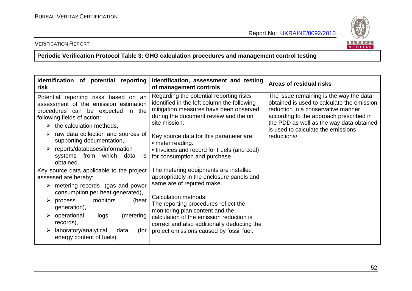

#### VERIFICATION REPORT

**Periodic Verification Protocol Table 3: GHG calculation procedures and management control testing** 

| Identification of potential reporting<br><b>risk</b>                                                                                                                                                                                                                                                                                                                            | Identification, assessment and testing<br>of management controls                                                                                                                                                                                                                                                                         | Areas of residual risks                                                                                                                                                                                                                                                 |
|---------------------------------------------------------------------------------------------------------------------------------------------------------------------------------------------------------------------------------------------------------------------------------------------------------------------------------------------------------------------------------|------------------------------------------------------------------------------------------------------------------------------------------------------------------------------------------------------------------------------------------------------------------------------------------------------------------------------------------|-------------------------------------------------------------------------------------------------------------------------------------------------------------------------------------------------------------------------------------------------------------------------|
| Potential reporting risks based on an<br>assessment of the emission estimation<br>procedures can be expected in the<br>following fields of action:<br>$\triangleright$ the calculation methods,<br>raw data collection and sources of<br>supporting documentation,<br>$\triangleright$ reports/databases/information<br>systems from<br>which<br>data<br><b>IS</b><br>obtained. | Regarding the potential reporting risks<br>identified in the left column the following<br>mitigation measures have been observed<br>during the document review and the on<br>site mission:<br>Key source data for this parameter are:<br>• meter reading.<br>• Invoices and record for Fuels (and coal)<br>for consumption and purchase. | The issue remaining is the way the data<br>obtained is used to calculate the emission<br>reduction in a conservative manner<br>according to the approach prescribed in<br>the PDD as well as the way data obtained<br>is used to calculate the emissions<br>reductions/ |
| Key source data applicable to the project<br>assessed are hereby:<br>$\triangleright$ metering records (gas and power                                                                                                                                                                                                                                                           | The metering equipments are installed<br>appropriately in the enclosure panels and<br>same are of reputed make.                                                                                                                                                                                                                          |                                                                                                                                                                                                                                                                         |
| consumption per heat generated),<br>monitors<br>(heat<br>process<br>➤<br>generation),<br>$\triangleright$ operational<br>logs<br>(metering<br>records),<br>laboratory/analytical<br>data<br>(for<br>➤<br>energy content of fuels),                                                                                                                                              | Calculation methods:<br>The reporting procedures reflect the<br>monitoring plan content and the<br>calculation of the emission reduction is<br>correct and also additionally deducting the<br>project emissions caused by fossil fuel.                                                                                                   |                                                                                                                                                                                                                                                                         |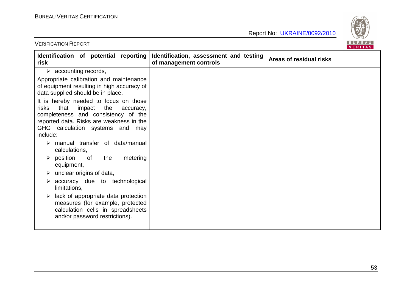

| <b>VERIFICATION REPORT</b> |  |
|----------------------------|--|
|                            |  |

| Identification of potential reporting<br>risk                                                                                                                                                                          | Identification, assessment and testing<br>of management controls | Areas of residual risks |
|------------------------------------------------------------------------------------------------------------------------------------------------------------------------------------------------------------------------|------------------------------------------------------------------|-------------------------|
| $\triangleright$ accounting records,<br>Appropriate calibration and maintenance                                                                                                                                        |                                                                  |                         |
| of equipment resulting in high accuracy of<br>data supplied should be in place.                                                                                                                                        |                                                                  |                         |
| It is hereby needed to focus on those<br>that<br>impact<br>the<br>risks<br>accuracy,<br>completeness and consistency of the<br>reported data. Risks are weakness in the<br>GHG calculation systems and may<br>include: |                                                                  |                         |
| manual transfer of data/manual<br>calculations,                                                                                                                                                                        |                                                                  |                         |
| the<br>metering<br>$\triangleright$ position<br>0f<br>equipment,<br>unclear origins of data,<br>➤                                                                                                                      |                                                                  |                         |
| accuracy due to technological<br>➤<br>limitations,                                                                                                                                                                     |                                                                  |                         |
| lack of appropriate data protection<br>➤<br>measures (for example, protected<br>calculation cells in spreadsheets<br>and/or password restrictions).                                                                    |                                                                  |                         |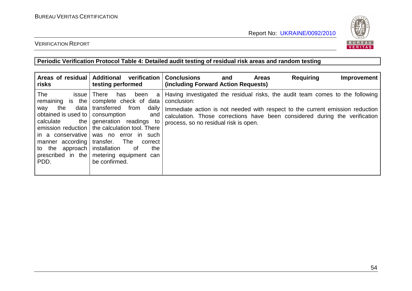

## VERIFICATION REPORT

**Periodic Verification Protocol Table 4: Detailed audit testing of residual risk areas and random testing** 

| Areas of residual   Additional<br>risks                                                                                                                                                                     | verification<br>testing performed                                                                                                                                                                                                                                                                    | <b>Conclusions</b><br>(including Forward Action Requests)                                                                                                                                                                                                                                             | <b>Areas</b><br>and | <b>Requiring</b> | Improvement |
|-------------------------------------------------------------------------------------------------------------------------------------------------------------------------------------------------------------|------------------------------------------------------------------------------------------------------------------------------------------------------------------------------------------------------------------------------------------------------------------------------------------------------|-------------------------------------------------------------------------------------------------------------------------------------------------------------------------------------------------------------------------------------------------------------------------------------------------------|---------------------|------------------|-------------|
| The<br><i>issue</i><br>remaining is the<br>data  <br>the<br>way<br>obtained is used to<br>the  <br>calculate<br>manner according transfer. The<br>to the approach installation<br>prescribed in the<br>PDD. | There<br>been<br>has<br>a<br>complete check of data<br>transferred<br>from<br>daily<br>consumption<br>and<br>generation readings to<br>emission reduction   the calculation tool. There<br>in a conservative was no error in such<br>correct<br>of<br>the<br>metering equipment can<br>be confirmed. | Having investigated the residual risks, the audit team comes to the following<br>conclusion:<br>Immediate action is not needed with respect to the current emission reduction<br>calculation. Those corrections have been considered during the verification<br>process, so no residual risk is open. |                     |                  |             |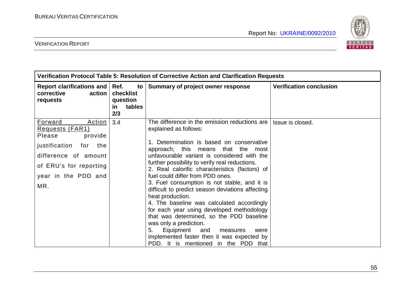

| Verification Protocol Table 5: Resolution of Corrective Action and Clarification Requests                                                                                       |                                                             |                                                                                                                                                                                                                                                                                                                                                                                                                                                                                                                                                                                                                                                                                                                                                                                     |                                |
|---------------------------------------------------------------------------------------------------------------------------------------------------------------------------------|-------------------------------------------------------------|-------------------------------------------------------------------------------------------------------------------------------------------------------------------------------------------------------------------------------------------------------------------------------------------------------------------------------------------------------------------------------------------------------------------------------------------------------------------------------------------------------------------------------------------------------------------------------------------------------------------------------------------------------------------------------------------------------------------------------------------------------------------------------------|--------------------------------|
| Report clarifications and<br>corrective<br>action<br>requests                                                                                                                   | Ref.<br>to<br>checklist<br>question<br>tables<br>in.<br>2/3 | Summary of project owner response                                                                                                                                                                                                                                                                                                                                                                                                                                                                                                                                                                                                                                                                                                                                                   | <b>Verification conclusion</b> |
| <b>Forward</b><br>Action<br>Requests (FAR1)<br>Please<br>provide<br>justification<br>for<br>the<br>difference of amount<br>of ERU's for reporting<br>year in the PDD and<br>MR. | 3.4                                                         | The difference in the emission reductions are<br>explained as follows:<br>1. Determination is based on conservative<br>approach; this means<br>that<br>the most<br>unfavourable variant is considered with the<br>further possibility to verify real reductions.<br>2. Real calorific characteristics (factors) of<br>fuel could differ from PDD ones.<br>3. Fuel consumption is not stable, and it is<br>difficult to predict season deviations affecting<br>heat production.<br>4. The baseline was calculated accordingly<br>for each year using developed methodology<br>that was determined, so the PDD baseline<br>was only a prediction.<br>Equipment<br>and<br>5.<br>measures<br>were<br>implemented faster then it was expected by<br>PDD. It is mentioned in the PDD that | Issue is closed.               |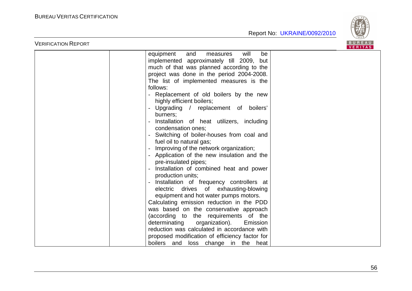VERIFICATION REPORT



|               | VERIIAS.                                       |  |
|---------------|------------------------------------------------|--|
| equipment     | will<br>be<br>and<br>measures                  |  |
|               | implemented approximately till 2009, but       |  |
|               | much of that was planned according to the      |  |
|               | project was done in the period 2004-2008.      |  |
|               | The list of implemented measures is the        |  |
| follows:      |                                                |  |
|               | Replacement of old boilers by the new          |  |
|               | highly efficient boilers;                      |  |
|               | Upgrading / replacement of boilers'            |  |
| burners;      |                                                |  |
|               | Installation of heat utilizers, including      |  |
|               | condensation ones;                             |  |
|               | Switching of boiler-houses from coal and       |  |
|               | fuel oil to natural gas;                       |  |
|               | Improving of the network organization;         |  |
|               | Application of the new insulation and the      |  |
|               | pre-insulated pipes;                           |  |
|               | Installation of combined heat and power        |  |
|               | production units;                              |  |
|               | Installation of frequency controllers at       |  |
|               | electric drives of exhausting-blowing          |  |
|               | equipment and hot water pumps motors.          |  |
|               | Calculating emission reduction in the PDD      |  |
|               | was based on the conservative approach         |  |
|               | (according to the requirements of the          |  |
| determinating | organization).<br>Emission                     |  |
|               | reduction was calculated in accordance with    |  |
|               | proposed modification of efficiency factor for |  |
|               | boilers and loss change in the heat            |  |
|               |                                                |  |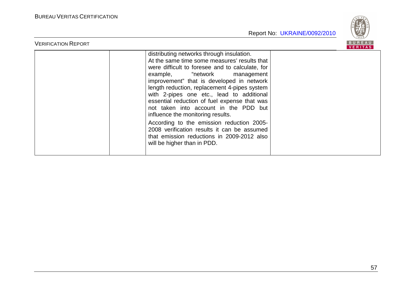

| <b>VERIFICATION REPORT</b> |                                                                                                                                                                                                                                                                                                                                                                                                                                                                                                                                                                                                                               | <b>RIIRFAII</b><br><b>VERITAS</b> |
|----------------------------|-------------------------------------------------------------------------------------------------------------------------------------------------------------------------------------------------------------------------------------------------------------------------------------------------------------------------------------------------------------------------------------------------------------------------------------------------------------------------------------------------------------------------------------------------------------------------------------------------------------------------------|-----------------------------------|
|                            | distributing networks through insulation.<br>At the same time some measures' results that<br>were difficult to foresee and to calculate, for<br>example, "network management<br>improvement" that is developed in network<br>length reduction, replacement 4-pipes system<br>with 2-pipes one etc., lead to additional<br>essential reduction of fuel expense that was<br>not taken into account in the PDD but<br>influence the monitoring results.<br>According to the emission reduction 2005-<br>2008 verification results it can be assumed<br>that emission reductions in 2009-2012 also<br>will be higher than in PDD. |                                   |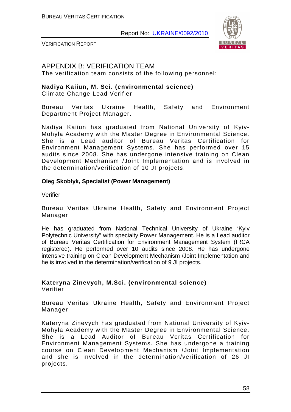

VERIFICATION REPORT

## APPENDIX B: VERIFICATION TEAM

The verification team consists of the following personnel:

#### **Nadiya Kaiiun, M. Sci. (environmental science)**

Climate Change Lead Verifier

Bureau Veritas Ukraine Health, Safety and Environment Department Project Manager.

Nadiya Kaiiun has graduated from National University of Kyiv-Mohyla Academy with the Master Degree in Environmental Science. She is a Lead auditor of Bureau Veritas Certification for Environment Management Systems. She has performed over 15 audits since 2008. She has undergone intensive training on Clean Development Mechanism /Joint Implementation and is involved in the determination/verification of 10 JI projects.

#### **Oleg Skoblyk, Specialist (Power Management)**

Verifier

Bureau Veritas Ukraine Health, Safety and Environment Project Manager

He has graduated from National Technical University of Ukraine 'Kyiv Polytechnic University" with specialty Power Management. He is a Lead auditor of Bureau Veritas Certification for Environment Management System (IRCA registered). He performed over 10 audits since 2008. He has undergone intensive training on Clean Development Mechanism /Joint Implementation and he is involved in the determination/verification of 9 JI projects.

#### **Kateryna Zinevych, M.Sci. (environmental science)**  Verifier

Bureau Veritas Ukraine Health, Safety and Environment Project Manager

Kateryna Zinevych has graduated from National University of Kyiv-Mohyla Academy with the Master Degree in Environmental Science. She is a Lead Auditor of Bureau Veritas Certification for Environment Management Systems. She has undergone a training course on Clean Development Mechanism /Joint Implementation and she is involved in the determination/verification of 26 JI projects.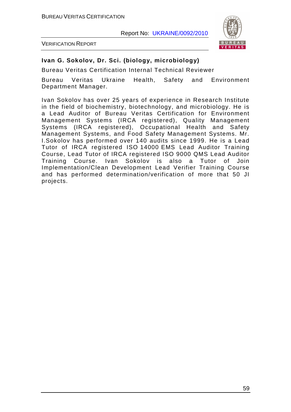

VERIFICATION REPORT

#### **Ivan G. Sokolov, Dr. Sci. (biology, microbiology)**

Bureau Veritas Certification Internal Technical Reviewer

Bureau Veritas Ukraine Health, Safety and Environment Department Manager.

Ivan Sokolov has over 25 years of experience in Research Institute in the field of biochemistry, biotechnology, and microbiology. He is a Lead Auditor of Bureau Veritas Certification for Environment Management Systems (IRCA registered), Quality Management Systems (IRCA registered), Occupational Health and Safety Management Systems, and Food Safety Management Systems. Mr. I.Sokolov has performed over 140 audits since 1999. He is a Lead Tutor of IRCA registered ISO 14000 EMS Lead Auditor Training Course, Lead Tutor of IRCA registered ISO 9000 QMS Lead Auditor Training Course. Ivan Sokolov is also a Tutor of Join Implementation/Clean Development Lead Verifier Training Course and has performed determination/verification of more that 50 JI projects.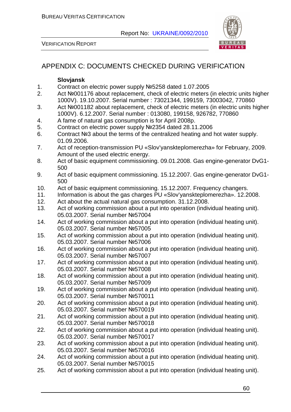

VERIFICATION REPORT

## APPENDIX C: DOCUMENTS CHECKED DURING VERIFICATION

#### **Slovjansk**

- 1. Contract on electric power supply №5258 dated 1.07.2005
- 2. Act №001176 about replacement, check of electric meters (in electric units higher 1000V). 19.10.2007. Serial number : 73021344, 199159, 73003042, 770860
- 3. Act №001182 about replacement, check of electric meters (in electric units higher 1000V). 6.12.2007. Serial number : 013080, 199158, 926782, 770860
- 4. A fame of natural gas consumption is for April 2008р.
- 5. Contract on electric power supply №2354 dated 28.11.2006
- 6. Contract №3 about the terms of the centralized heating and hot water supply. 01.09.2006.
- 7. Act of reception-transmission PU «Slov'yanskteplomerezha» for February, 2009. Amount of the used electric energy.
- 8. Act of basic equipment commissioning. 09.01.2008. Gas engine-generator DvG1- 500
- 9. Act of basic equipment commissioning. 15.12.2007. Gas engine-generator DvG1- 500
- 10. Act of basic equipment commissioning. 15.12.2007. Frequency changers.
- 11. Information is about the gas charges PU «Slov'yanskteplomerezha». 12.2008.
- 12. Act about the actual natural gas consumption. 31.12.2008.
- 13. Act of working commission about a put into operation (individual heating unit). 05.03.2007. Serial number №57004
- 14. Act of working commission about a put into operation (individual heating unit). 05.03.2007. Serial number №57005
- 15. Act of working commission about a put into operation (individual heating unit). 05.03.2007. Serial number №57006
- 16. Act of working commission about a put into operation (individual heating unit). 05.03.2007. Serial number №57007
- 17. Act of working commission about a put into operation (individual heating unit). 05.03.2007. Serial number №57008
- 18. Act of working commission about a put into operation (individual heating unit). 05.03.2007. Serial number №57009
- 19. Act of working commission about a put into operation (individual heating unit). 05.03.2007. Serial number №570011
- 20. Act of working commission about a put into operation (individual heating unit). 05.03.2007. Serial number №570019
- 21. Act of working commission about a put into operation (individual heating unit). 05.03.2007. Serial number №570018
- 22. Act of working commission about a put into operation (individual heating unit). 05.03.2007. Serial number №570017
- 23. Act of working commission about a put into operation (individual heating unit). 05.03.2007. Serial number №570016
- 24. Act of working commission about a put into operation (individual heating unit). 05.03.2007. Serial number №570015
- 25. Act of working commission about a put into operation (individual heating unit).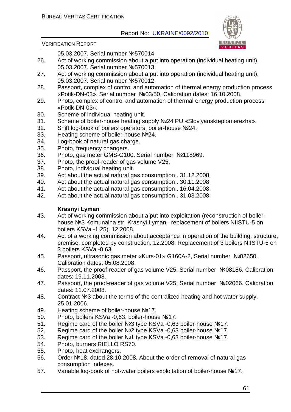

VERIFICATION REPORT

05.03.2007. Serial number №570014

- 26. Act of working commission about a put into operation (individual heating unit). 05.03.2007. Serial number №570013
- 27. Act of working commission about a put into operation (individual heating unit). 05.03.2007. Serial number №570012
- 28. Passport, complex of control and automation of thermal energy production process «Potik-DN-03». Serial number №03/50. Calibration dates: 16.10.2008.
- 29. Photo, complex of control and automation of thermal energy production process «Potik-DN-03».
- 30. Scheme of individual heating unit.
- 31. Scheme of boiler-house heating supply №24 PU «Slov'yanskteplomerezha».
- 32. Shift log-book of boilers operators, boiler-house №24.
- 33. Heating scheme of boiler-house №24.
- 34. Log-book of natural gas charge.
- 35. Photo, frequency changers.
- 36. Photo, gas meter GMS-G100. Serial number №118969.
- 37. Photo, the proof-reader of gas volume V25,
- 38. Photo, individual heating unit.
- 39. Act about the actual natural gas consumption . 31.12.2008.
- 40. Act about the actual natural gas consumption . 30.11.2008.
- 41. Act about the actual natural gas consumption . 16.04.2008.
- 42. Act about the actual natural gas consumption . 31.03.2008.

#### **Krasnyi Lyman**

- 43. Act of working commission about a put into exploitation (reconstruction of boilerhouse №3 Komunalna str. Krasnyi Lyman– replacement of boilers NIISTU-5 on boilers KSVa -1,25). 12.2008.
- 44. Act of a working commission about acceptance in operation of the building, structure, premise, completed by construction. 12.2008. Replacement of 3 boilers NIISTU-5 on 3 boilers KSVa -0,63.
- 45. Passport, ultrasonic gas meter «Kurs-01» G160A-2, Serial number №02650. Calibration dates: 05.08.2008.
- 46. Passport, the proof-reader of gas volume V25, Serial number №08186. Calibration dates: 19.11.2008.
- 47. Passport, the proof-reader of gas volume V25, Serial number №02066. Calibration dates: 11.07.2008.
- 48. Contract №3 about the terms of the centralized heating and hot water supply. 25.01.2006.
- 49. Heating scheme of boiler-house №17.
- 50. Photo, boilers KSVa -0,63, boiler-house №17.
- 51. Regime card of the boiler №3 type KSVa -0,63 boiler-house №17.
- 52. Regime card of the boiler №2 type KSVa -0,63 boiler-house №17.
- 53. Regime card of the boiler №1 type KSVa -0,63 boiler-house №17.
- 54. Photo, burners RIELLO RS70.
- 55. Photo, heat exchangers.
- 56. Order №18, dated 28.10.2008. About the order of removal of natural gas consumption indexes.
- 57. Variable log-book of hot-water boilers exploitation of boiler-house №17.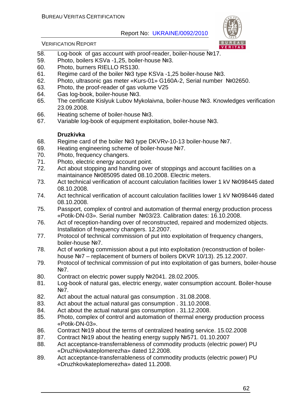

#### VERIFICATION REPORT

- 58. Log-book of gas account with proof-reader, boiler-house №17.
- 59. Photo, boilers KSVa -1,25, boiler-house №3.
- 60. Photo, burners RIELLO RS130.
- 61. Regime card of the boiler №3 type KSVa -1,25 boiler-house №3.
- 62. Photo, ultrasonic gas meter «Kurs-01» G160A-2, Serial number №02650.
- 63. Photo, the proof-reader of gas volume V25
- 64. Gas log-book, boiler-house №3.
- 65. The certificate Kislyuk Lubov Mykolaivna, boiler-house №3. Knowledges verification 23.09.2008.
- 66. Heating scheme of boiler-house №3.
- 67. Variable log-book of equipment exploitation, boiler-house №3.

#### **Druzkivka**

- 68. Regime card of the boiler №3 type DKVRv-10-13 boiler-house №7.
- 69. Heating engineering scheme of boiler-house №7.
- 70. Photo, frequency changers.
- 71. Photo, electric energy account point.
- 72. Act about stopping and handing over of stoppings and account facilities on a maintainance №085095 dated 08.10.2008. Electric meters.
- 73. Act technical verification of account calculation facilities lower 1 kV №098445 dated 08.10.2008.
- 74. Act technical verification of account calculation facilities lower 1 kV №098446 dated 08.10.2008.
- 75. Passport, complex of control and automation of thermal energy production process «Potik-DN-03». Serial number №03/23. Calibration dates: 16.10.2008.
- 76. Act of reception-handing over of reconstructed, repaired and modernized objects. Installation of frequency changers. 12.2007.
- 77. Protocol of technical commission of put into exploitation of frequency changers, boiler-house №7.
- 78. Act of working commission about a put into exploitation (reconstruction of boilerhouse №7 – replacement of burners of boilers DKVR 10/13). 25.12.2007.
- 79. Protocol of technical commission of put into exploitation of gas burners, boiler-house №7.
- 80. Contract on electric power supply №2041. 28.02.2005.
- 81. Log-book of natural gas, electric energy, water consumption account. Boiler-house N<sub>2</sub>7.
- 82. Act about the actual natural gas consumption . 31.08.2008.
- 83. Act about the actual natural gas consumption . 31.10.2008.
- 84. Act about the actual natural gas consumption . 31.12.2008.
- 85. Photo, complex of control and automation of thermal energy production process «Potik-DN-03».
- 86. Contract №19 about the terms of centralized heating service. 15.02.2008
- 87. Contract №19 about the heating energy supply №571. 01.10.2007
- 88. Act acceptance-transferrableness of commodity products (electric power) PU «Druzhkovkateplomerezha» dated 12.2008.
- 89. Act acceptance-transferrableness of commodity products (electric power) PU «Druzhkovkateplomerezha» dated 11.2008.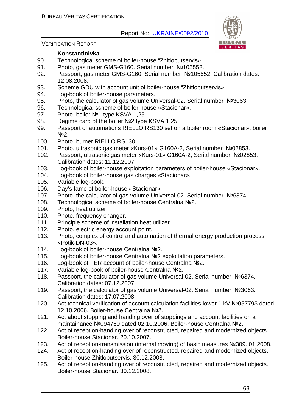

VERIFICATION REPORT

#### **Konstantinivka**

- 90. Technological scheme of boiler-house "Zhitlobutservis».
- 91. Photo, gas meter GMS-G160. Serial number №105552.
- 92. Passport, gas meter GMS-G160. Serial number №105552. Calibration dates: 12.08.2008.
- 93. Scheme GDU with account unit of boiler-house "Zhitlobutservis».
- 94. Log-book of boiler-house parameters.
- 95. Photo, the calculator of gas volume Universal-02. Serial number №3063.
- 96. Technological scheme of boiler-house «Stacionar».
- 97. Photo, boiler №1 type KSVA 1,25.
- 98. Regime card of the boiler Nº2 type KSVA 1,25
- 99. Passport of automations RIELLO RS130 set on a boiler room «Stacionar», boiler No<sub>2.</sub>
- 100. Photo, burner RIELLO RS130.
- 101. Photo, ultrasonic gas meter «Kurs-01» G160A-2, Serial number №02853.
- 102. Passport, ultrasonic gas meter «Kurs-01» G160A-2, Serial number №02853. Calibration dates: 11.12.2007.
- 103. Log-book of boiler-house exploitation parameters of boiler-house «Stacionar».
- 104. Log-book of boiler-house gas charges «Stacionar».
- 105. Variable log-book.
- 106. Day's fame of boiler-house «Stacionar».
- 107. Photo, the calculator of gas volume Universal-02. Serial number №6374.
- 108. Technological scheme of boiler-house Centralna №2.
- 109. Photo, heat utilizer.
- 110. Photo, frequency changer.
- 111. Principle scheme of installation heat utilizer.
- 112. Photo, electric energy account point.
- 113. Photo, complex of control and automation of thermal energy production process «Potik-DN-03».
- 114. Log-book of boiler-house Centralna №2.
- 115. Log-book of boiler-house Centralna №2 exploitation parameters.
- 116. Log-book of FER account of boiler-house Centralna №2.
- 117. Variable log-book of boiler-house Centralna №2.
- 118. Passport, the calculator of gas volume Universal-02. Serial number №6374. Calibration dates: 07.12.2007.
- 119. Passport, the calculator of gas volume Universal-02. Serial number №3063. Calibration dates: 17.07.2008.
- 120. Act technical verification of account calculation facilities lower 1 kV №057793 dated 12.10.2006. Boiler-house Centralna №2.
- 121. Act about stopping and handing over of stoppings and account facilities on a maintainance №094769 dated 02.10.2006. Boiler-house Centralna №2.
- 122. Act of reception-handing over of reconstructed, repaired and modernized objects. Boiler-house Stacionar. 20.10.2007.
- 123. Act of reception-transmission (internal moving) of basic measures №309. 01.2008.
- 124. Act of reception-handing over of reconstructed, repaired and modernized objects. Boiler-house Zhitlobutservis. 30.12.2008.
- 125. Act of reception-handing over of reconstructed, repaired and modernized objects. Boiler-house Stacionar. 30.12.2008.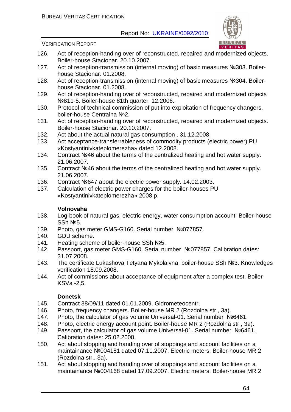

VERIFICATION REPORT

- 126. Act of reception-handing over of reconstructed, repaired and modernized objects. Boiler-house Stacionar. 20.10.2007.
- 127. Act of reception-transmission (internal moving) of basic measures №303. Boilerhouse Stacionar. 01.2008.
- 128. Act of reception-transmission (internal moving) of basic measures №304. Boilerhouse Stacionar. 01.2008.
- 129. Act of reception-handing over of reconstructed, repaired and modernized objects №811-5. Boiler-house 81th quarter. 12.2006.
- 130. Protocol of technical commission of put into exploitation of frequency changers, boiler-house Centralna №2.
- 131. Act of reception-handing over of reconstructed, repaired and modernized objects. Boiler-house Stacionar. 20.10.2007.
- 132. Act about the actual natural gas consumption . 31.12.2008.
- 133. Act acceptance-transferrableness of commodity products (electric power) PU «Kostyantinivkateplomerezha» dated 12.2008.
- 134. Contract №46 about the terms of the centralized heating and hot water supply. 21.06.2007.
- 135. Contract №46 about the terms of the centralized heating and hot water supply. 21.06.2007.
- 136. Contract №647 about the electric power supply. 14.02.2003.
- 137. Calculation of electric power charges for the boiler-houses PU «Kostyantinivkateplomerezha» 2008 р.

#### **Volnovaha**

- 138. Log-book of natural gas, electric energy, water consumption account. Boiler-house SSh №5.
- 139. Photo, gas meter GMS-G160. Serial number №077857.
- 140. GDU scheme.
- 141. Heating scheme of boiler-house SSh №5.
- 142. Passport, gas meter GMS-G160. Serial number №077857. Calibration dates: 31.07.2008.
- 143. The certificate Lukashova Tetyana Mykolaivna, boiler-house SSh №3. Knowledges verification 18.09.2008.
- 144. Act of commissions about acceptance of equipment after a complex test. Boiler KSVa -2,5.

#### **Donetsk**

- 145. Contract 38/09/11 dated 01.01.2009. Gidrometeocentr.
- 146. Photo, frequency changers. Boiler-house MR 2 (Rozdolna str., 3а).
- 147. Photo, the calculator of gas volume Universal-01. Serial number №6461.
- 148. Photo, electric energy account point. Boiler-house MR 2 (Rozdolna str., 3а).
- 149. Passport, the calculator of gas volume Universal-01. Serial number №6461. Calibration dates: 25.02.2008.
- 150. Act about stopping and handing over of stoppings and account facilities on a maintainance №004181 dated 07.11.2007. Electric meters. Boiler-house MR 2 (Rozdolna str., 3а).
- 151. Act about stopping and handing over of stoppings and account facilities on a maintainance №004168 dated 17.09.2007. Electric meters. Boiler-house MR 2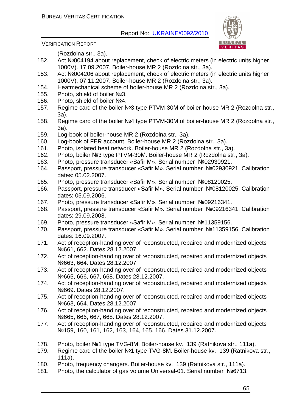

|      | (Rozdolna str., 3a).                                                                                                                           |
|------|------------------------------------------------------------------------------------------------------------------------------------------------|
| 152. | Act Nº004194 about replacement, check of electric meters (in electric units higher                                                             |
|      | 1000V). 17.09.2007. Boiler-house MR 2 (Rozdolna str., 3a).                                                                                     |
| 153. | Act Nº004206 about replacement, check of electric meters (in electric units higher                                                             |
|      | 1000V). 07.11.2007. Boiler-house MR 2 (Rozdolna str., 3a).                                                                                     |
| 154. | Heatmechanical scheme of boiler-house MR 2 (Rozdolna str., 3a).                                                                                |
| 155. | Photo, shield of boiler Nº3.                                                                                                                   |
| 156. | Photo, shield of boiler Nº4.                                                                                                                   |
| 157. | Regime card of the boiler Nº3 type PTVM-30M of boiler-house MR 2 (Rozdolna str.,<br>3a).                                                       |
| 158. | Regime card of the boiler №4 type PTVM-30M of boiler-house MR 2 (Rozdolna str.,<br>3a).                                                        |
| 159. | Log-book of boiler-house MR 2 (Rozdolna str., 3a).                                                                                             |
| 160. | Log-book of FER account. Boiler-house MR 2 (Rozdolna str., 3a).                                                                                |
| 161. | Photo, isolated heat network. Boiler-house MR 2 (Rozdolna str., 3a).                                                                           |
| 162. | Photo, boiler Nº3 type PTVM-30M. Boiler-house MR 2 (Rozdolna str., 3a).                                                                        |
| 163. | Photo, pressure transducer «Safir M». Serial number Nº02930921.                                                                                |
| 164. | Passport, pressure transducer «Safir M». Serial number Nº02930921. Calibration<br>dates: 05.02.2007.                                           |
| 165. | Photo, pressure transducer «Safir M». Serial number Nº08120025.                                                                                |
| 166. | Passport, pressure transducer «Safir M». Serial number Nº08120025. Calibration<br>dates: 05.09.2006.                                           |
| 167. | Photo, pressure transducer «Safir M». Serial number Nº09216341.                                                                                |
| 168. | Passport, pressure transducer «Safir M». Serial number Nº09216341. Calibration<br>dates: 29.09.2008.                                           |
| 169. | Photo, pressure transducer «Safir M». Serial number Nº11359156.                                                                                |
| 170. | Passport, pressure transducer «Safir M». Serial number Nº11359156. Calibration<br>dates: 16.09.2007.                                           |
| 171. | Act of reception-handing over of reconstructed, repaired and modernized objects<br>No 661, 662. Dates 28.12.2007.                              |
| 172. | Act of reception-handing over of reconstructed, repaired and modernized objects<br>Nº663, 664. Dates 28.12.2007.                               |
| 173. | Act of reception-handing over of reconstructed, repaired and modernized objects<br>No 665, 666, 667, 668. Dates 28.12.2007.                    |
| 174. | Act of reception-handing over of reconstructed, repaired and modernized objects<br>No 669. Dates 28.12.2007.                                   |
| 175. | Act of reception-handing over of reconstructed, repaired and modernized objects<br>Nº663, 664. Dates 28.12.2007.                               |
| 176. | Act of reception-handing over of reconstructed, repaired and modernized objects<br>No 665, 666, 667, 668. Dates 28.12.2007.                    |
| 177. | Act of reception-handing over of reconstructed, repaired and modernized objects<br>Nº159, 160, 161, 162, 163, 164, 165, 166. Dates 31.12.2007. |
| 178. | Photo, boiler №1 type TVG-8M. Boiler-house kv. 139 (Ratnikova str., 111a).                                                                     |
| 179. | Regime card of the boiler №1 type TVG-8M. Boiler-house kv. 139 (Ratnikova str.,<br>$111a$ ).                                                   |
| 180. | Photo, frequency changers. Boiler-house kv. 139 (Ratnikova str., 111a).                                                                        |
| 181. | Photo, the calculator of gas volume Universal-01. Serial number №6713.                                                                         |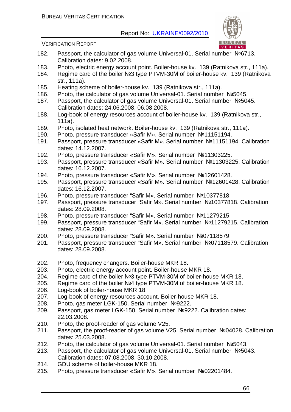

- 182. Passport, the calculator of gas volume Universal-01. Serial number №6713. Calibration dates: 9.02.2008.
- 183. Photo, electric energy account point. Boiler-house kv. 139 (Ratnikova str., 111a).
- 184. Regime card of the boiler №3 type PTVM-30М of boiler-house kv. 139 (Ratnikova str., 111а).
- 185. Heating scheme of boiler-house kv. 139 (Ratnikova str., 111а).
- 186. Photo, the calculator of gas volume Universal-01. Serial number №5045.
- 187. Passport, the calculator of gas volume Universal-01. Serial number №5045. Calibration dates: 24.06.2008, 06.08.2008.
- 188. Log-book of energy resources account of boiler-house kv. 139 (Ratnikova str., 111а).
- 189. Photo, isolated heat network. Boiler-house kv. 139 (Ratnikova str., 111а).
- 190. Photo, pressure transducer «Safir M». Serial number №11151194.
- 191. Passport, pressure transducer «Safir M». Serial number №11151194. Calibration dates: 14.12.2007.
- 192. Photo, pressure transducer «Safir M». Serial number №11303225.
- 193. Passport, pressure transducer «Safir M». Serial number №11303225. Calibration dates: 16.12.2007.
- 194. Photo, pressure transducer «Safir M». Serial number №12601428.
- 195. Passport, pressure transducer «Safir M». Serial number №12601428. Calibration dates: 16.12.2007.
- 196. Photo, pressure transducer "Safir M». Serial number №10377818.
- 197. Passport, pressure transducer "Safir M». Serial number №10377818. Calibration dates: 28.09.2008.
- 198. Photo, pressure transducer "Safir M». Serial number №11279215.
- 199. Passport, pressure transducer "Safir M». Serial number №11279215. Calibration dates: 28.09.2008.
- 200. Photo, pressure transducer "Safir M». Serial number №07118579.
- 201. Passport, pressure transducer "Safir M». Serial number №07118579. Calibration dates: 28.09.2008.
- 202. Photo, frequency changers. Boiler-house MKR 18.
- 203. Photo, electric energy account point. Boiler-house MKR 18.
- 204. Regime card of the boiler №3 type PTVM-30М of boiler-house MKR 18.
- 205. Regime card of the boiler №4 type PTVM-30М of boiler-house MKR 18.
- 206. Log-book of boiler-house MKR 18.
- 207. Log-book of energy resources account. Boiler-house MKR 18.
- 208. Photo, gas meter LGK-150. Serial number №9222.
- 209. Passport, gas meter LGK-150. Serial number №9222. Calibration dates: 22.03.2008.
- 210. Photo, the proof-reader of gas volume V25.
- 211. Passport, the proof-reader of gas volume V25, Serial number №04028. Calibration dates: 25.03.2008.
- 212. Photo, the calculator of gas volume Universal-01. Serial number №5043.
- 213. Passport, the calculator of gas volume Universal-01. Serial number №5043. Calibration dates: 07.08.2008, 30.10.2008.
- 214. GDU scheme of boiler-house MKR 18.
- 215. Photo, pressure transducer «Safir M». Serial number №02201484.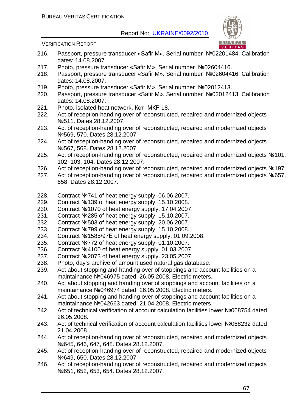

- 216. Passport, pressure transducer «Safir M». Serial number №02201484. Calibration dates: 14.08.2007.
- 217. Photo, pressure transducer «Safir M». Serial number №02604416.
- 218. Passport, pressure transducer «Safir M». Serial number №02604416. Calibration dates: 14.08.2007.
- 219. Photo, pressure transducer «Safir M». Serial number №02012413.
- 220. Passport, pressure transducer «Safir M». Serial number №02012413. Calibration dates: 14.08.2007.
- 221. Photo, isolated heat network. Кот. МКР 18.
- 222. Act of reception-handing over of reconstructed, repaired and modernized objects №511. Dates 28.12.2007.
- 223. Act of reception-handing over of reconstructed, repaired and modernized objects №569, 570. Dates 28.12.2007.
- 224. Act of reception-handing over of reconstructed, repaired and modernized objects №567, 568. Dates 28.12.2007.
- 225. Act of reception-handing over of reconstructed, repaired and modernized objects №101, 102, 103, 104. Dates 28.12.2007.
- 226. Act of reception-handing over of reconstructed, repaired and modernized objects №197.
- 227. Act of reception-handing over of reconstructed, repaired and modernized objects №657, 658. Dates 28.12.2007.
- 228. Contract №741 of heat energy supply. 06.06.2007.
- 229. Contract №139 of heat energy supply. 15.10.2008.
- 230. Contract №1070 of heat energy supply. 17.04.2007.
- 231. Contract №285 of heat energy supply. 15.10.2007.
- 232. Contract №503 of heat energy supply. 20.06.2007.
- 233. Contract №799 of heat energy supply. 15.10.2008.
- 234. Contract №1585/97Е of heat energy supply. 01.09.2008.
- 235. Contract №772 of heat energy supply. 01.10.2007.
- 236. Contract №4100 of heat energy supply. 01.03.2007.
- 237. Contract №2073 of heat energy supply. 23.05.2007.
- 238. Photo, day's archive of amount used natural gas database.
- 239. Act about stopping and handing over of stoppings and account facilities on a maintainance №046975 dated 26.05.2008. Electric meters.
- 240. Act about stopping and handing over of stoppings and account facilities on a maintainance №046974 dated 26.05.2008. Electric meters.
- 241. Act about stopping and handing over of stoppings and account facilities on a maintainance №042663 dated 21.04.2008. Electric meters.
- 242. Act of technical verification of account calculation facilities lower №068754 dated 26.05.2008.
- 243. Act of technical verification of account calculation facilities lower №068232 dated 21.04.2008.
- 244. Act of reception-handing over of reconstructed, repaired and modernized objects №645, 646, 647, 648. Dates 28.12.2007.
- 245. Act of reception-handing over of reconstructed, repaired and modernized objects №649, 650. Dates 28.12.2007.
- 246. Act of reception-handing over of reconstructed, repaired and modernized objects №651, 652, 653, 654. Dates 28.12.2007.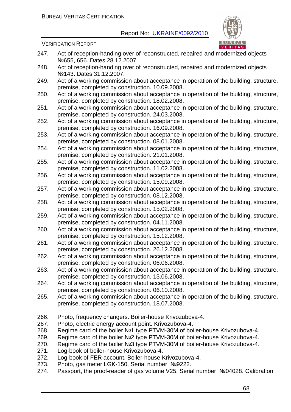

- 247. Act of reception-handing over of reconstructed, repaired and modernized objects №655, 656. Dates 28.12.2007. 248. Act of reception-handing over of reconstructed, repaired and modernized objects №143. Dates 31.12.2007. 249. Act of a working commission about acceptance in operation of the building, structure, premise, completed by construction. 10.09.2008. 250. Act of a working commission about acceptance in operation of the building, structure, premise, completed by construction. 18.02.2008. 251. Act of a working commission about acceptance in operation of the building, structure, premise, completed by construction. 24.03.2008. 252. Act of a working commission about acceptance in operation of the building, structure, premise, completed by construction. 16.09.2008. 253. Act of a working commission about acceptance in operation of the building, structure, premise, completed by construction. 08.01.2008. 254. Act of a working commission about acceptance in operation of the building, structure, premise, completed by construction. 21.01.2008. 255. Act of a working commission about acceptance in operation of the building, structure, premise, completed by construction. 11.02.2008. 256. Act of a working commission about acceptance in operation of the building, structure, premise, completed by construction. 15.09.2008. 257. Act of a working commission about acceptance in operation of the building, structure, premise, completed by construction. 08.12.2008. 258. Act of a working commission about acceptance in operation of the building, structure, premise, completed by construction. 15.02.2008. 259. Act of a working commission about acceptance in operation of the building, structure, premise, completed by construction. 04.11.2008. 260. Act of a working commission about acceptance in operation of the building, structure, premise, completed by construction. 15.12.2008. 261. Act of a working commission about acceptance in operation of the building, structure, premise, completed by construction. 26.12.2008. 262. Act of a working commission about acceptance in operation of the building, structure, premise, completed by construction. 06.06.2008. 263. Act of a working commission about acceptance in operation of the building, structure, premise, completed by construction. 13.06.2008. 264. Act of a working commission about acceptance in operation of the building, structure, premise, completed by construction. 06.10.2008. 265. Act of a working commission about acceptance in operation of the building, structure, premise, completed by construction. 18.07.2008. 266. Photo, frequency changers. Boiler-house Krivozubova-4. 267. Photo, electric energy account point. Krivozubova-4. 268. Regime card of the boiler №1 type PTVM-30М of boiler-house Krivozubova-4. 269. Regime card of the boiler №2 type PTVM-30М of boiler-house Krivozubova-4. 270. Regime card of the boiler №3 type PTVM-30М of boiler-house Krivozubova-4. 271. Log-book of boiler-house Krivozubova-4. 272. Log-book of FER account. Boiler-house Krivozubova-4. 273. Photo, gas meter LGK-150. Serial number №9222.
- 274. Passport, the proof-reader of gas volume V25, Serial number №04028. Calibration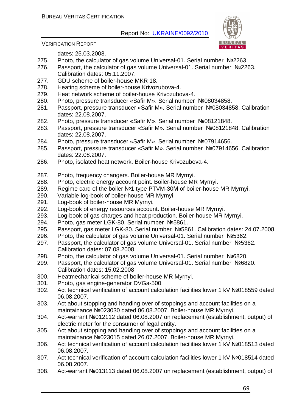

VERIFICATION REPORT

dates: 25.03.2008.

- 275. Photo, the calculator of gas volume Universal-01. Serial number №2263.
- 276. Passport, the calculator of gas volume Universal-01. Serial number №2263. Calibration dates: 05.11.2007.
- 277. GDU scheme of boiler-house MKR 18.
- 278. Heating scheme of boiler-house Krivozubova-4.
- 279. Heat network scheme of boiler-house Krivozubova-4.
- 280. Photo, pressure transducer «Safir M». Serial number №08034858.
- 281. Passport, pressure transducer «Safir M». Serial number №08034858. Calibration dates: 22.08.2007.
- 282. Photo, pressure transducer «Safir M». Serial number №08121848.
- 283. Passport, pressure transducer «Safir M». Serial number №08121848. Calibration dates: 22.08.2007.
- 284. Photo, pressure transducer «Safir M». Serial number №07914656.
- 285. Passport, pressure transducer «Safir M». Serial number №07914656. Calibration dates: 22.08.2007.
- 286. Photo, isolated heat network. Boiler-house Krivozubova-4.
- 287. Photo, frequency changers. Boiler-house MR Myrnyi.
- 288. Photo, electric energy account point. Boiler-house MR Myrnyi.
- 289. Regime card of the boiler №1 type PTVM-30М of boiler-house MR Myrnyi.
- 290. Variable log-book of boiler-house MR Myrnyi.
- 291. Log-book of boiler-house MR Myrnyi.
- 292. Log-book of energy resources account. Boiler-house MR Myrnyi.
- 293. Log-book of gas charges and heat production. Boiler-house MR Myrnyi.
- 294. Photo, gas meter LGK-80. Serial number №5861.
- 295. Passport, gas meter LGK-80. Serial number №5861. Calibration dates: 24.07.2008.
- 296. Photo, the calculator of gas volume Universal-01. Serial number №5362.
- 297. Passport, the calculator of gas volume Universal-01. Serial number №5362. Calibration dates: 07.08.2008.
- 298. Photo, the calculator of gas volume Universal-01. Serial number №6820.
- 299. Passport, the calculator of gas volume Universal-01. Serial number №6820. Calibration dates: 15.02.2008
- 300. Heatmechanical scheme of boiler-house MR Myrnyi.
- 301. Photo, gas engine-generator DVGa-500.
- 302. Act technical verification of account calculation facilities lower 1 kV №018559 dated 06.08.2007.
- 303. Act about stopping and handing over of stoppings and account facilities on a maintainance №023030 dated 06.08.2007. Boiler-house MR Myrnyi.
- 304. Act-warrant №012112 dated 06.08.2007 on replacement (establishment, output) of electric meter for the consumer of legal entity.
- 305. Act about stopping and handing over of stoppings and account facilities on a maintainance №023015 dated 26.07.2007. Boiler-house MR Myrnyi.
- 306. Act technical verification of account calculation facilities lower 1 kV №018513 dated 06.08.2007.
- 307. Act technical verification of account calculation facilities lower 1 kV №018514 dated 06.08.2007.
- 308. Act-warrant №013113 dated 06.08.2007 on replacement (establishment, output) of